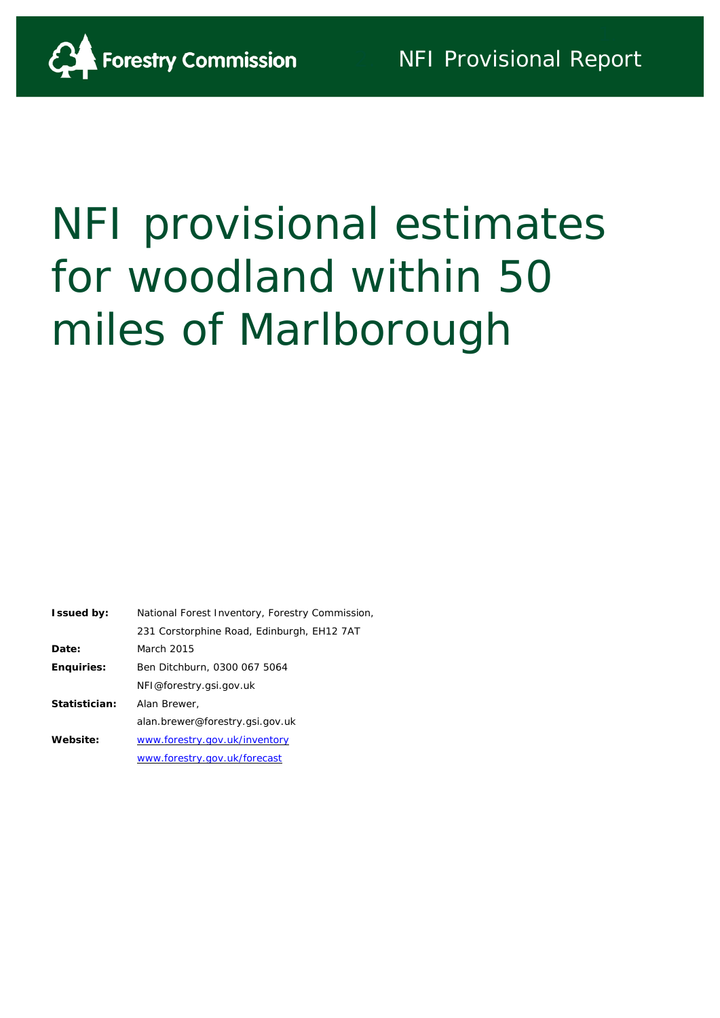

# NFI provisional estimates for woodland within 50 miles of Marlborough

| <b>Issued by:</b> | National Forest Inventory, Forestry Commission, |
|-------------------|-------------------------------------------------|
|                   | 231 Corstorphine Road, Edinburgh, EH12 7AT      |
| Date:             | March 2015                                      |
| <b>Enquiries:</b> | Ben Ditchburn, 0300 067 5064                    |
|                   | NFI@forestry.gsi.gov.uk                         |
| Statistician:     | Alan Brewer,                                    |
|                   | alan.brewer@forestry.gsi.gov.uk                 |
| Website:          | www.forestry.gov.uk/inventory                   |
|                   | www.forestry.gov.uk/forecast                    |
|                   |                                                 |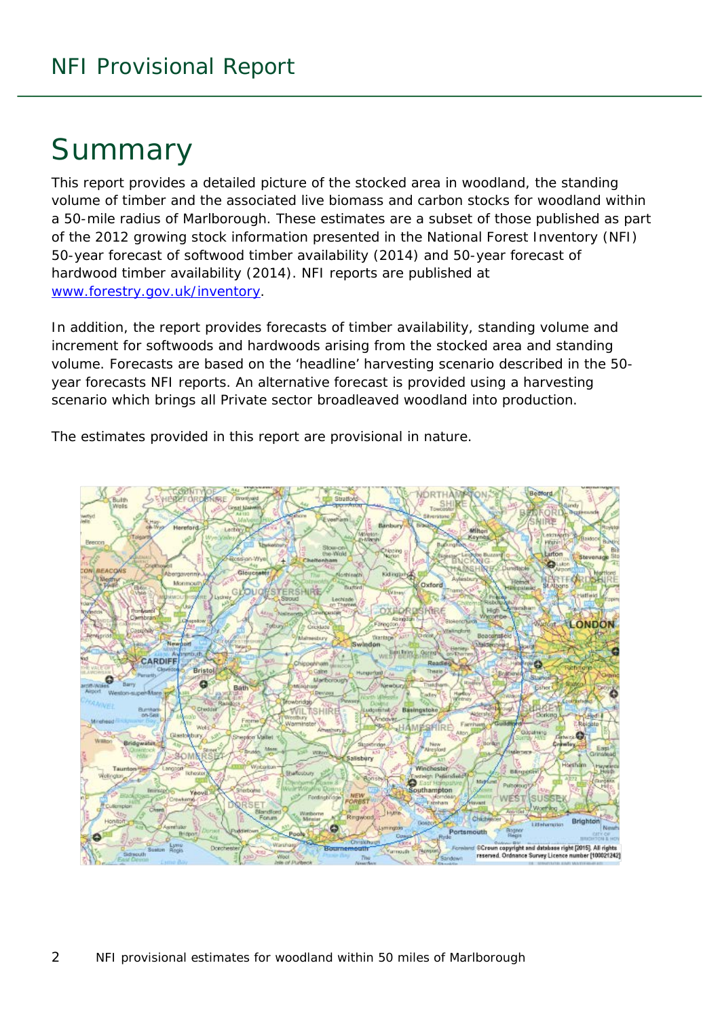# Summary

This report provides a detailed picture of the stocked area in woodland, the standing volume of timber and the associated live biomass and carbon stocks for woodland within a 50-mile radius of Marlborough. These estimates are a subset of those published as part of the 2012 growing stock information presented in the National Forest Inventory (NFI) *50-year forecast of softwood timber availability* (2014) and *50-year forecast of hardwood timber availability* (2014). NFI reports are published at [www.forestry.gov.uk/inventory.](http://www.forestry.gov.uk/inventory)

In addition, the report provides forecasts of timber availability, standing volume and increment for softwoods and hardwoods arising from the stocked area and standing volume. Forecasts are based on the 'headline' harvesting scenario described in the 50 year forecasts NFI reports. An alternative forecast is provided using a harvesting scenario which brings all Private sector broadleaved woodland into production.

The estimates provided in this report are provisional in nature.

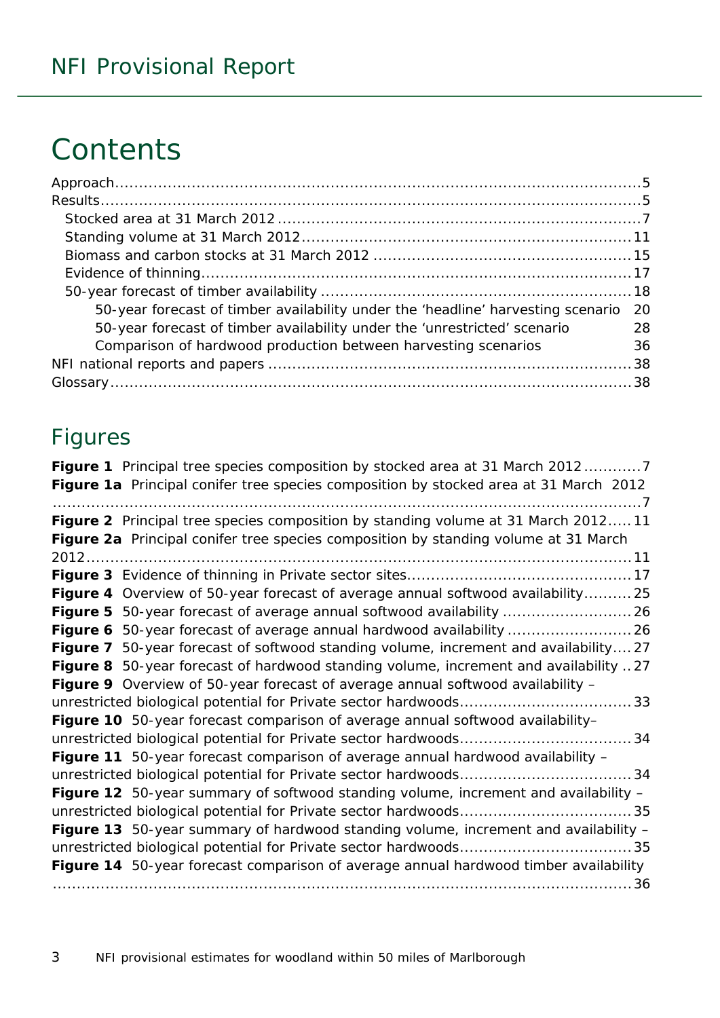# **Contents**

| 50-year forecast of timber availability under the 'headline' harvesting scenario | -20 |
|----------------------------------------------------------------------------------|-----|
| 50-year forecast of timber availability under the 'unrestricted' scenario        | 28  |
| Comparison of hardwood production between harvesting scenarios                   | 36  |
|                                                                                  |     |
|                                                                                  |     |

### Figures

| Figure 1 Principal tree species composition by stocked area at 31 March 20127         |
|---------------------------------------------------------------------------------------|
| Figure 1a Principal conifer tree species composition by stocked area at 31 March 2012 |
| Figure 2 Principal tree species composition by standing volume at 31 March 201211     |
| Figure 2a Principal conifer tree species composition by standing volume at 31 March   |
|                                                                                       |
|                                                                                       |
| Figure 4 Overview of 50-year forecast of average annual softwood availability 25      |
|                                                                                       |
|                                                                                       |
| Figure 7 50-year forecast of softwood standing volume, increment and availability27   |
| Figure 8 50-year forecast of hardwood standing volume, increment and availability 27  |
| Figure 9 Overview of 50-year forecast of average annual softwood availability -       |
|                                                                                       |
| Figure 10 50-year forecast comparison of average annual softwood availability-        |
|                                                                                       |
| Figure 11 50-year forecast comparison of average annual hardwood availability -       |
|                                                                                       |
| Figure 12 50-year summary of softwood standing volume, increment and availability -   |
|                                                                                       |
| Figure 13 50-year summary of hardwood standing volume, increment and availability -   |
|                                                                                       |
| Figure 14 50-year forecast comparison of average annual hardwood timber availability  |
|                                                                                       |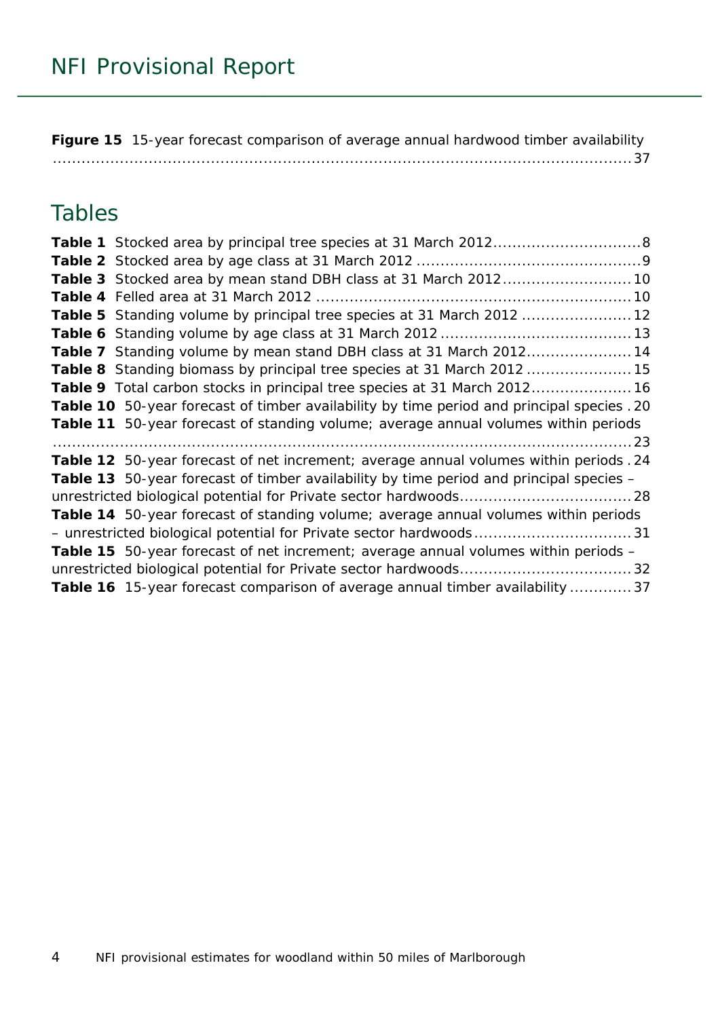**Figure 15** [15-year forecast comparison of average annual hardwood timber availability](#page-36-0) [.........................................................................................................................37](#page-36-0)

### Tables

| Table 3 Stocked area by mean stand DBH class at 31 March 2012 10                           |
|--------------------------------------------------------------------------------------------|
|                                                                                            |
| Table 5 Standing volume by principal tree species at 31 March 2012  12                     |
|                                                                                            |
| Table 7 Standing volume by mean stand DBH class at 31 March 201214                         |
| Table 8 Standing biomass by principal tree species at 31 March 2012  15                    |
| Table 9 Total carbon stocks in principal tree species at 31 March 2012 16                  |
| Table 10 50-year forecast of timber availability by time period and principal species . 20 |
| Table 11 50-year forecast of standing volume; average annual volumes within periods        |
|                                                                                            |
| Table 12 50-year forecast of net increment; average annual volumes within periods . 24     |
| Table 13 50-year forecast of timber availability by time period and principal species -    |
|                                                                                            |
| Table 14 50-year forecast of standing volume; average annual volumes within periods        |
|                                                                                            |
| <b>Table 15</b> 50-year forecast of net increment; average annual volumes within periods - |
|                                                                                            |
| Table 16 15-year forecast comparison of average annual timber availability  37             |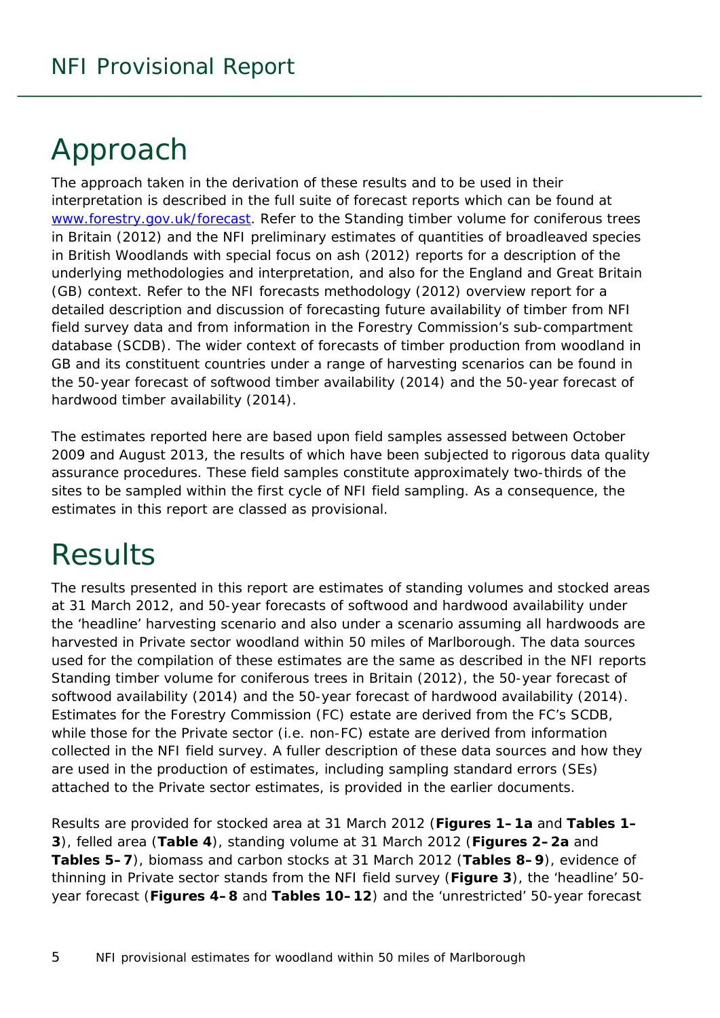# <span id="page-4-0"></span>Approach

The approach taken in the derivation of these results and to be used in their interpretation is described in the full suite of forecast reports which can be found at [www.forestry.gov.uk/forecast.](http://www.forestry.gov.uk/forecast) Refer to the *Standing timber volume for coniferous trees in Britain* (2012) and the *NFI preliminary estimates of quantities of broadleaved species in British Woodlands with special focus on ash* (2012) reports for a description of the underlying methodologies and interpretation, and also for the England and Great Britain (GB) context. Refer to the *NFI forecasts methodology* (2012) overview report for a detailed description and discussion of forecasting future availability of timber from NFI field survey data and from information in the Forestry Commission's sub-compartment database (SCDB). The wider context of forecasts of timber production from woodland in GB and its constituent countries under a range of harvesting scenarios can be found in the *50-year forecast of softwood timber availability* (2014) and the *50-year forecast of hardwood timber availability* (2014).

The estimates reported here are based upon field samples assessed between October 2009 and August 2013, the results of which have been subjected to rigorous data quality assurance procedures. These field samples constitute approximately two-thirds of the sites to be sampled within the first cycle of NFI field sampling. As a consequence, the estimates in this report are classed as provisional.

# <span id="page-4-1"></span>**Results**

The results presented in this report are estimates of standing volumes and stocked areas at 31 March 2012, and 50-year forecasts of softwood and hardwood availability under the 'headline' harvesting scenario and also under a scenario assuming all hardwoods are harvested in Private sector woodland within 50 miles of Marlborough. The data sources used for the compilation of these estimates are the same as described in the NFI reports *Standing timber volume for coniferous trees in Britain* (2012), the *50-year forecast of softwood availability* (2014) and the *50-year forecast of hardwood availability* (2014). Estimates for the Forestry Commission (FC) estate are derived from the FC's SCDB, while those for the Private sector (i.e. non-FC) estate are derived from information collected in the NFI field survey. A fuller description of these data sources and how they are used in the production of estimates, including sampling standard errors (SEs) attached to the Private sector estimates, is provided in the earlier documents.

Results are provided for stocked area at 31 March 2012 (**Figures 1–1a** and **Tables 1– 3**), felled area (**Table 4**), standing volume at 31 March 2012 (**Figures 2–2a** and **Tables 5–7**), biomass and carbon stocks at 31 March 2012 (**Tables 8–9**), evidence of thinning in Private sector stands from the NFI field survey (**Figure 3**), the 'headline' 50 year forecast (**Figures 4–8** and **Tables 10–12**) and the 'unrestricted' 50-year forecast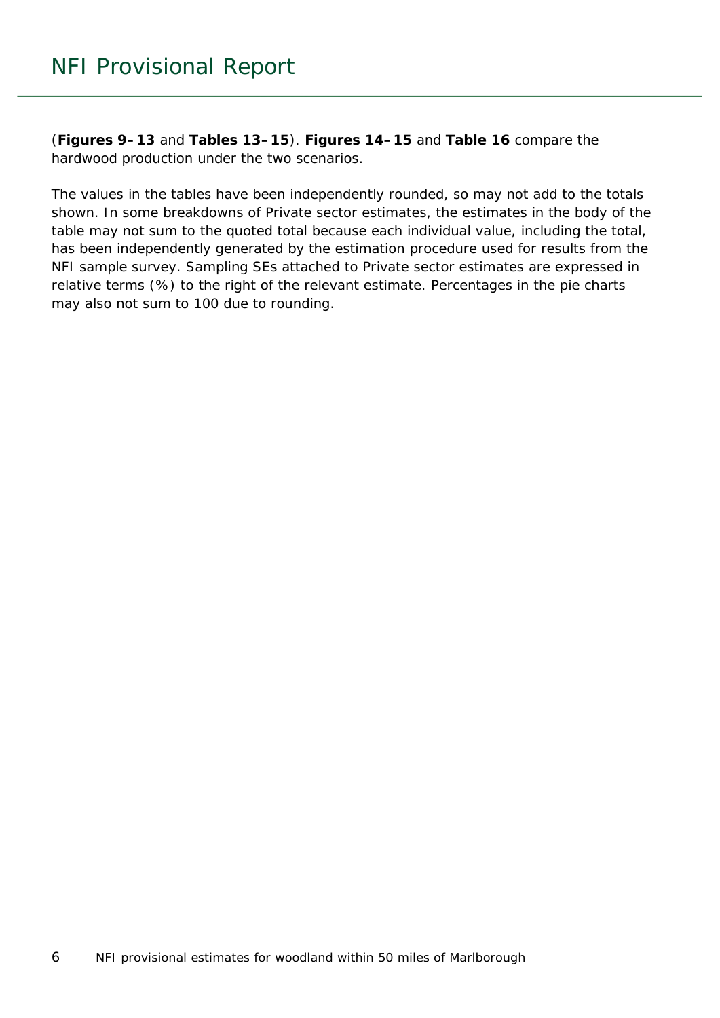(**Figures 9–13** and **Tables 13–15**). **Figures 14–15** and **Table 16** compare the hardwood production under the two scenarios.

The values in the tables have been independently rounded, so may not add to the totals shown. In some breakdowns of Private sector estimates, the estimates in the body of the table may not sum to the quoted total because each individual value, including the total, has been independently generated by the estimation procedure used for results from the NFI sample survey. Sampling SEs attached to Private sector estimates are expressed in relative terms (%) to the right of the relevant estimate. Percentages in the pie charts may also not sum to 100 due to rounding.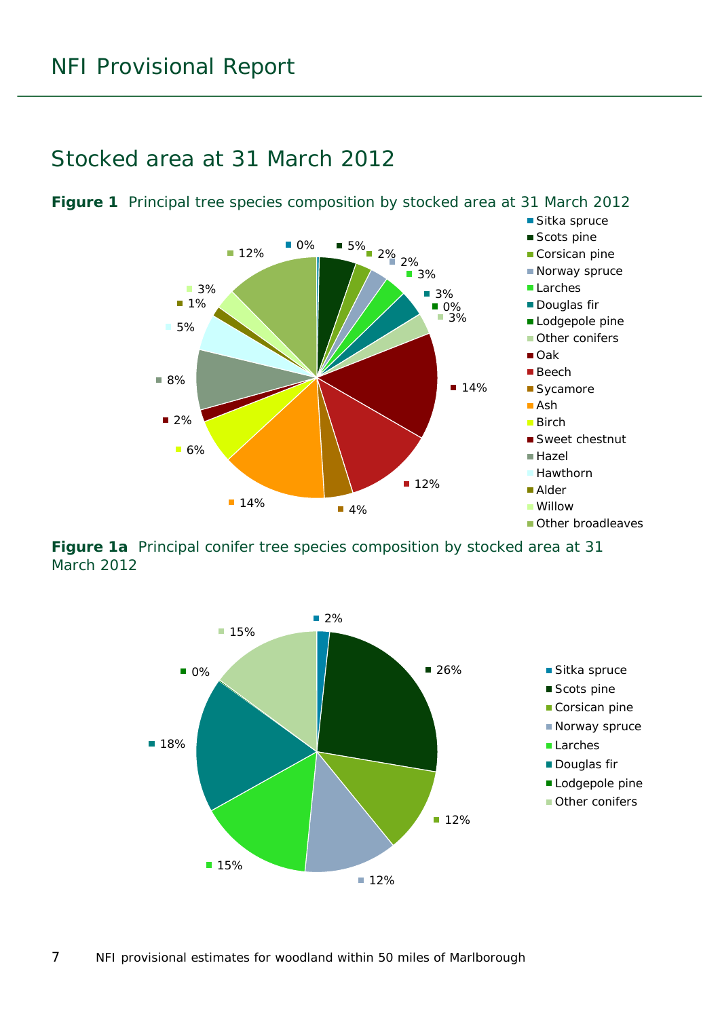#### <span id="page-6-0"></span>Stocked area at 31 March 2012



<span id="page-6-1"></span>**Figure 1** Principal tree species composition by stocked area at 31 March 2012

<span id="page-6-2"></span>**Figure 1a** Principal conifer tree species composition by stocked area at 31 March 2012

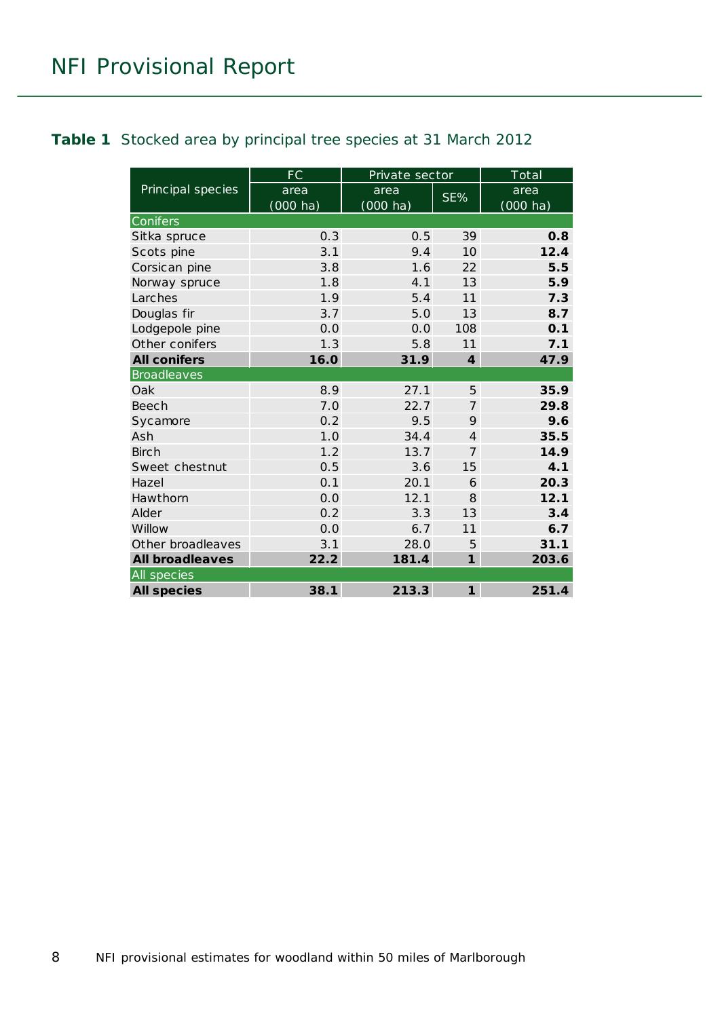#### <span id="page-7-0"></span>**Table 1** Stocked area by principal tree species at 31 March 2012

|                        | <b>FC</b>          | Private sector |                 | $\overline{\text{Total}}$ |
|------------------------|--------------------|----------------|-----------------|---------------------------|
| Principal species      | area               | area           | SE%             | area                      |
|                        | $(000 \text{ ha})$ | (000 ha)       |                 | $(000 \text{ ha})$        |
| Conifers               |                    |                |                 |                           |
| Sitka spruce           | 0.3                | 0.5            | 39              | 0.8                       |
| Scots pine             | 3.1                | 9.4            | 10 <sup>1</sup> | 12.4                      |
| Corsican pine          | 3.8                | 1.6            | 22              | 5.5                       |
| Norway spruce          | 1.8                | 4.1            | 13              | 5.9                       |
| Larches                | 1.9                | 5.4            | 11              | 7.3                       |
| Douglas fir            | 3.7                | 5.0            | 13              | 8.7                       |
| Lodgepole pine         | 0.0                | 0.0            | 108             | 0.1                       |
| Other conifers         | 1.3                | 5.8            | 11              | 7.1                       |
| <b>All conifers</b>    | 16.0               | 31.9           | $\overline{4}$  | 47.9                      |
| <b>Broadleaves</b>     |                    |                |                 |                           |
| Oak                    | 8.9                | 27.1           | 5               | 35.9                      |
| <b>Beech</b>           | 7.0                | 22.7           | $\overline{7}$  | 29.8                      |
| Sycamore               | 0.2                | 9.5            | 9               | 9.6                       |
| Ash                    | 1.0                | 34.4           | $\overline{4}$  | 35.5                      |
| <b>Birch</b>           | 1.2                | 13.7           | $\overline{7}$  | 14.9                      |
| Sweet chestnut         | 0.5                | 3.6            | 15              | 4.1                       |
| Hazel                  | 0.1                | 20.1           | 6               | 20.3                      |
| Hawthorn               | 0.0                | 12.1           | 8               | 12.1                      |
| Alder                  | 0.2                | 3.3            | 13              | 3.4                       |
| Willow                 | 0.0                | 6.7            | 11              | 6.7                       |
| Other broadleaves      | 3.1                | 28.0           | 5               | 31.1                      |
| <b>All broadleaves</b> | 22.2               | 181.4          | $\mathbf{1}$    | 203.6                     |
| All species            |                    |                |                 |                           |
| <b>All species</b>     | 38.1               | 213.3          | $\mathbf{1}$    | 251.4                     |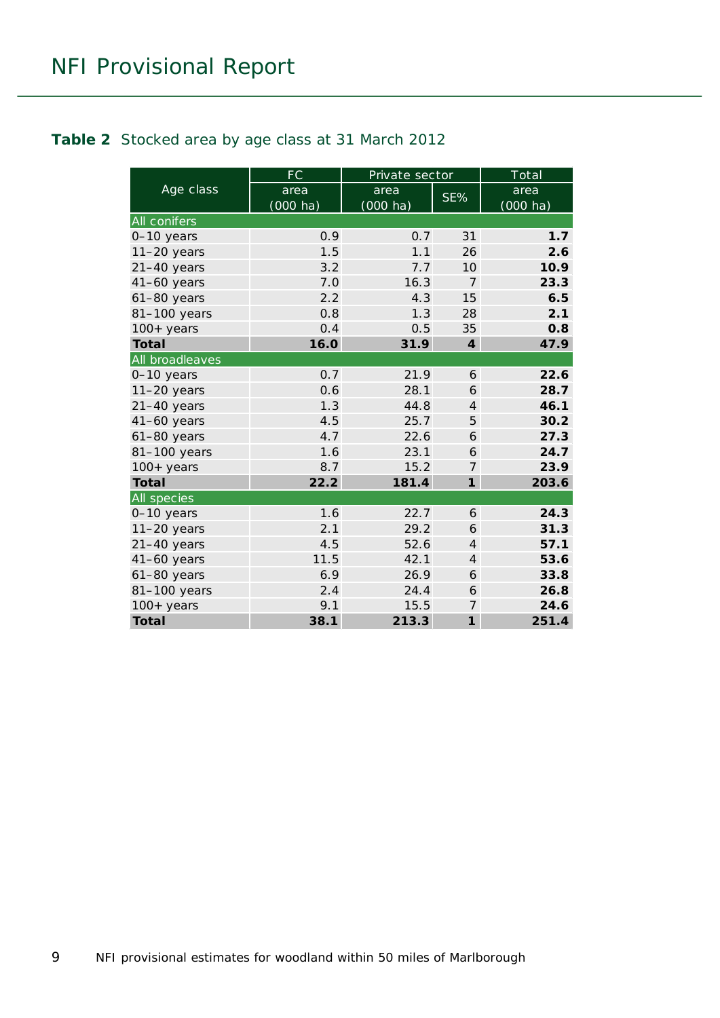#### <span id="page-8-0"></span>**Table 2** Stocked area by age class at 31 March 2012

|                     | FC                         | Private sector             |                | Total                      |
|---------------------|----------------------------|----------------------------|----------------|----------------------------|
| Age class           | area<br>$(000 \text{ ha})$ | area<br>$(000 \text{ ha})$ | SE%            | area<br>$(000 \text{ ha})$ |
| <b>All conifers</b> |                            |                            |                |                            |
| 0-10 years          | 0.9                        | 0.7                        | 31             | 1.7                        |
| $11-20$ years       | 1.5                        | 1.1                        | 26             | 2.6                        |
| $21-40$ years       | 3.2                        | 7.7                        | 10             | 10.9                       |
| $41-60$ years       | 7.0                        | 16.3                       | $\overline{7}$ | 23.3                       |
| $61-80$ years       | 2.2                        | 4.3                        | 15             | 6.5                        |
| 81-100 years        | 0.8                        | 1.3                        | 28             | 2.1                        |
| $100+$ years        | 0.4                        | 0.5                        | 35             | 0.8                        |
| <b>Total</b>        | 16.0                       | 31.9                       | $\overline{4}$ | 47.9                       |
| All broadleaves     |                            |                            |                |                            |
| 0-10 years          | 0.7                        | 21.9                       | 6              | 22.6                       |
| $11-20$ years       | 0.6                        | 28.1                       | 6              | 28.7                       |
| $21-40$ years       | 1.3                        | 44.8                       | $\overline{4}$ | 46.1                       |
| $41-60$ years       | 4.5                        | 25.7                       | 5              | 30.2                       |
| $61-80$ years       | 4.7                        | 22.6                       | 6              | 27.3                       |
| 81-100 years        | 1.6                        | 23.1                       | 6              | 24.7                       |
| $100+$ years        | 8.7                        | 15.2                       | $\overline{7}$ | 23.9                       |
| <b>Total</b>        | 22.2                       | 181.4                      | $\mathbf{1}$   | 203.6                      |
| <b>All species</b>  |                            |                            |                |                            |
| 0-10 years          | 1.6                        | 22.7                       | 6              | 24.3                       |
| $11-20$ years       | 2.1                        | 29.2                       | 6              | 31.3                       |
| $21-40$ years       | 4.5                        | 52.6                       | $\overline{4}$ | 57.1                       |
| $41-60$ years       | 11.5                       | 42.1                       | $\overline{4}$ | 53.6                       |
| $61-80$ years       | 6.9                        | 26.9                       | 6              | 33.8                       |
| 81-100 years        | 2.4                        | 24.4                       | 6              | 26.8                       |
| $100+$ years        | 9.1                        | 15.5                       | 7              | 24.6                       |
| <b>Total</b>        | 38.1                       | 213.3                      | $\mathbf{1}$   | 251.4                      |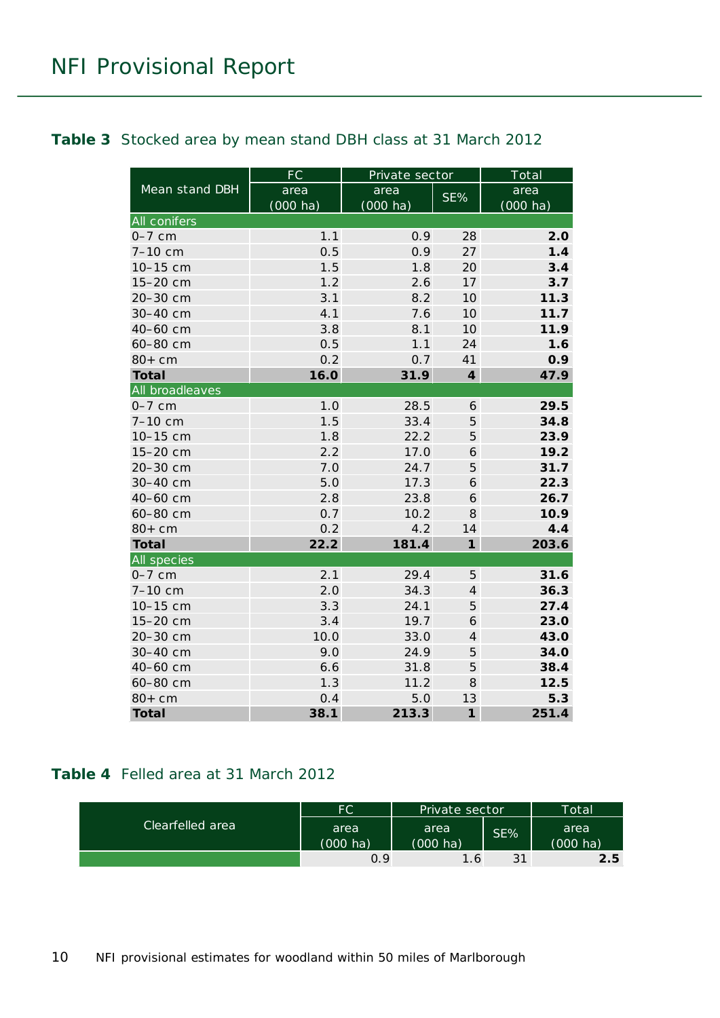#### <span id="page-9-0"></span>**Table 3** Stocked area by mean stand DBH class at 31 March 2012

|                     | <b>FC</b>          | Private sector     |                | Total              |
|---------------------|--------------------|--------------------|----------------|--------------------|
| Mean stand DBH      | area               | area               | SE%            | area               |
|                     | $(000 \text{ ha})$ | $(000 \text{ ha})$ |                | $(000 \text{ ha})$ |
| <b>All conifers</b> |                    |                    |                |                    |
| $0-7$ cm            | 1.1                | 0.9                | 28             | 2.0                |
| 7-10 cm             | 0.5                | 0.9                | 27             | 1.4                |
| 10-15 cm            | 1.5                | 1.8                | 20             | 3.4                |
| 15-20 cm            | 1.2                | 2.6                | 17             | 3.7                |
| 20-30 cm            | 3.1                | 8.2                | 10             | 11.3               |
| 30-40 cm            | 4.1                | 7.6                | 10             | 11.7               |
| 40-60 cm            | 3.8                | 8.1                | 10             | 11.9               |
| 60-80 cm            | 0.5                | 1.1                | 24             | 1.6                |
| $80+cm$             | 0.2                | 0.7                | 41             | 0.9                |
| <b>Total</b>        | 16.0               | 31.9               | $\overline{4}$ | 47.9               |
| All broadleaves     |                    |                    |                |                    |
| $0-7$ cm            | 1.0                | 28.5               | 6              | 29.5               |
| 7-10 cm             | 1.5                | 33.4               | 5              | 34.8               |
| 10-15 cm            | 1.8                | 22.2               | 5              | 23.9               |
| 15-20 cm            | 2.2                | 17.0               | 6              | 19.2               |
| 20-30 cm            | 7.0                | 24.7               | 5              | 31.7               |
| 30-40 cm            | 5.0                | 17.3               | 6              | 22.3               |
| 40-60 cm            | 2.8                | 23.8               | 6              | 26.7               |
| 60-80 cm            | 0.7                | 10.2               | 8              | 10.9               |
| $80+cm$             | 0.2                | 4.2                | 14             | 4.4                |
| <b>Total</b>        | 22.2               | 181.4              | $\mathbf{1}$   | 203.6              |
| All species         |                    |                    |                |                    |
| $0-7$ cm            | 2.1                | 29.4               | 5              | 31.6               |
| 7-10 cm             | 2.0                | 34.3               | $\overline{4}$ | 36.3               |
| 10-15 cm            | 3.3                | 24.1               | 5              | 27.4               |
| 15-20 cm            | 3.4                | 19.7               | 6              | 23.0               |
| 20-30 cm            | 10.0               | 33.0               | $\overline{4}$ | 43.0               |
| 30-40 cm            | 9.0                | 24.9               | 5              | 34.0               |
| 40-60 cm            | 6.6                | 31.8               | 5              | 38.4               |
| 60-80 cm            | 1.3                | 11.2               | 8              | 12.5               |
| $80+cm$             | 0.4                | 5.0                | 13             | 5.3                |
| <b>Total</b>        | 38.1               | 213.3              | $\mathbf{1}$   | 251.4              |

#### <span id="page-9-1"></span>**Table 4** Felled area at 31 March 2012

| Clearfelled area | FC                 | Private sector     |     | Total    |
|------------------|--------------------|--------------------|-----|----------|
|                  | area               | area               | SE% | area     |
|                  | $(000 \text{ ha})$ | $(000 \text{ ha})$ |     | (000 ha) |
|                  | 0.9                | 1.6 <sub>1</sub>   | 31  | 2.5      |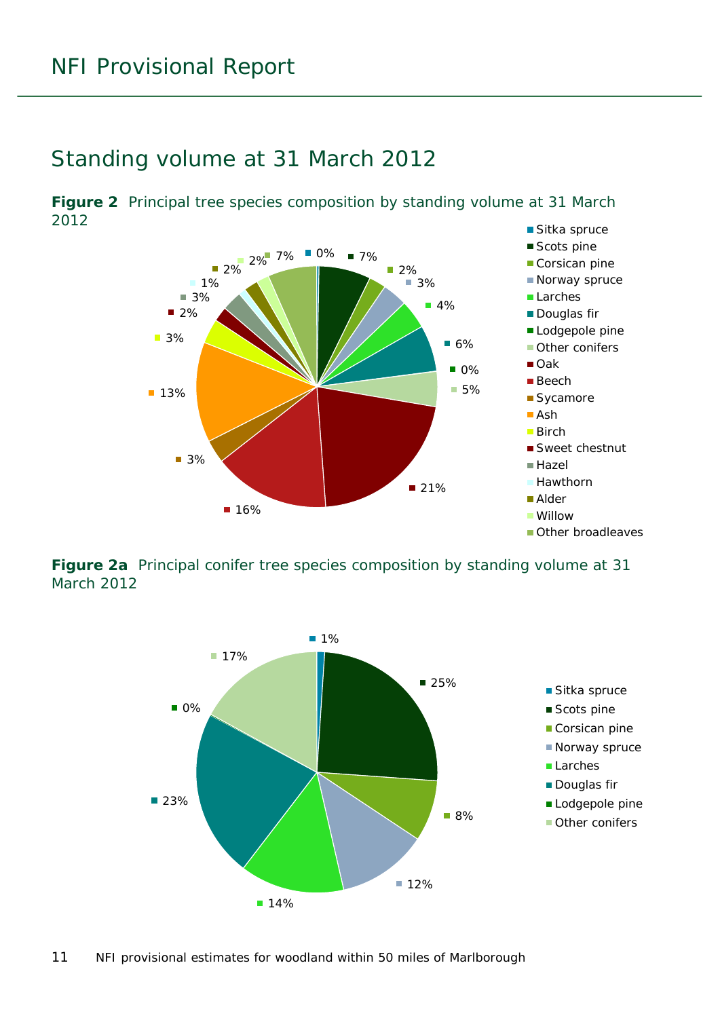#### <span id="page-10-0"></span>Standing volume at 31 March 2012

<span id="page-10-1"></span>**Figure 2** Principal tree species composition by standing volume at 31 March 2012



<span id="page-10-2"></span>**Figure 2a** Principal conifer tree species composition by standing volume at 31 March 2012

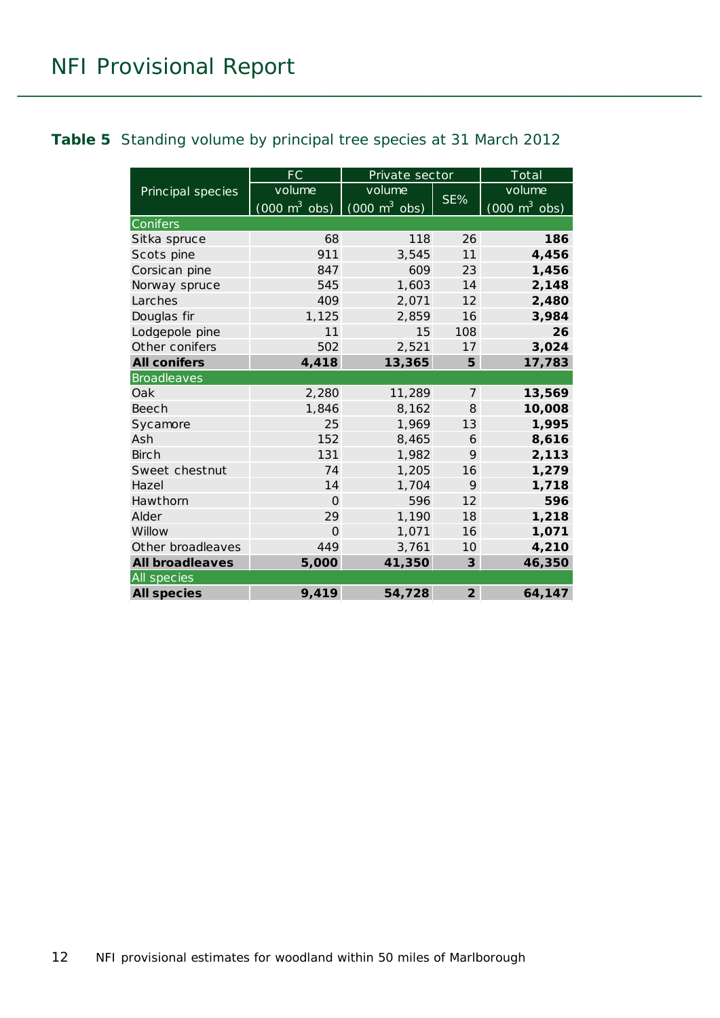#### <span id="page-11-0"></span>**Table 5** Standing volume by principal tree species at 31 March 2012

|                        | <b>FC</b>                       | Private sector                  |                         | Total                           |
|------------------------|---------------------------------|---------------------------------|-------------------------|---------------------------------|
| Principal species      | volume                          | volume                          |                         | volume                          |
|                        | $(000 \text{ m}^3 \text{ obs})$ | $(000 \text{ m}^3 \text{ obs})$ | SE%                     | $(000 \text{ m}^3 \text{ obs})$ |
| Conifers               |                                 |                                 |                         |                                 |
| Sitka spruce           | 68                              | 118                             | 26                      | 186                             |
| Scots pine             | 911                             | 3,545                           | 11                      | 4,456                           |
| Corsican pine          | 847                             | 609                             | 23                      | 1,456                           |
| Norway spruce          | 545                             | 1,603                           | 14                      | 2,148                           |
| Larches                | 409                             | 2,071                           | 12                      | 2,480                           |
| Douglas fir            | 1,125                           | 2,859                           | 16                      | 3,984                           |
| Lodgepole pine         | 11                              | 15                              | 108                     | 26                              |
| Other conifers         | 502                             | 2,521                           | 17                      | 3,024                           |
| <b>All conifers</b>    | 4,418                           | 13,365                          | 5                       | 17,783                          |
| <b>Broadleaves</b>     |                                 |                                 |                         |                                 |
| Oak                    | 2,280                           | 11,289                          | $\overline{7}$          | 13,569                          |
| <b>Beech</b>           | 1,846                           | 8,162                           | 8                       | 10,008                          |
| Sycamore               | 25                              | 1,969                           | 13                      | 1,995                           |
| Ash                    | 152                             | 8,465                           | 6                       | 8,616                           |
| <b>Birch</b>           | 131                             | 1,982                           | 9                       | 2,113                           |
| Sweet chestnut         | 74                              | 1,205                           | 16                      | 1,279                           |
| Hazel                  | 14                              | 1,704                           | 9                       | 1,718                           |
| Hawthorn               | $\Omega$                        | 596                             | 12                      | 596                             |
| Alder                  | 29                              | 1,190                           | 18                      | 1,218                           |
| Willow                 | $\Omega$                        | 1,071                           | 16                      | 1,071                           |
| Other broadleaves      | 449                             | 3,761                           | 10                      | 4,210                           |
| <b>All broadleaves</b> | 5,000                           | 41,350                          | $\overline{\mathbf{3}}$ | 46,350                          |
| All species            |                                 |                                 |                         |                                 |
| <b>All species</b>     | 9,419                           | 54,728                          | $\overline{2}$          | 64,147                          |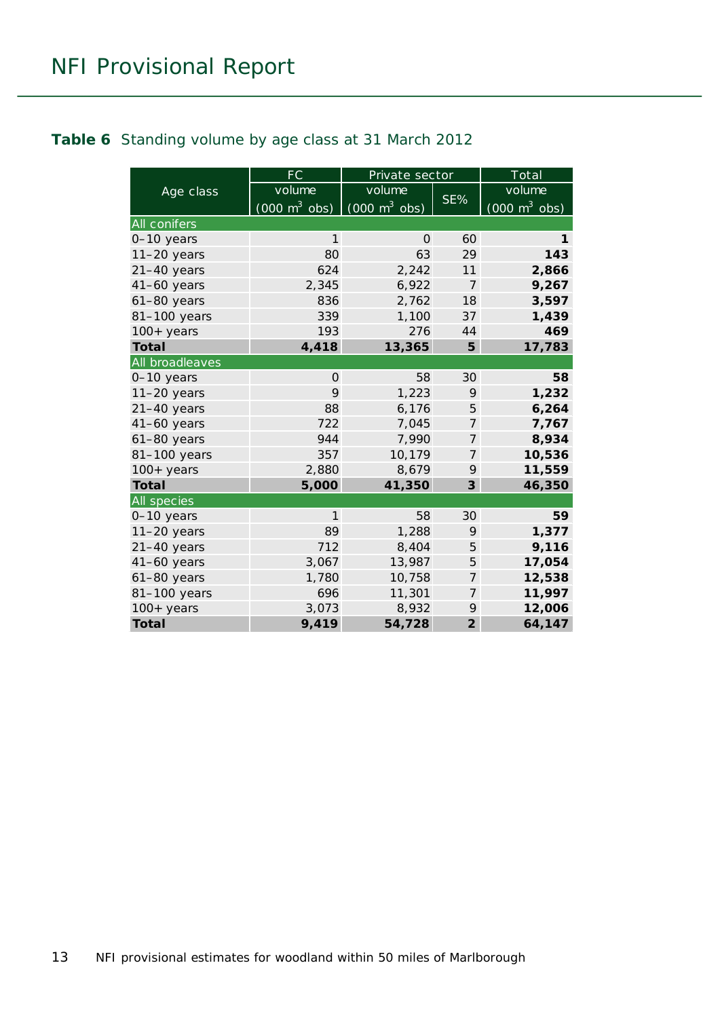#### <span id="page-12-0"></span>**Table 6** Standing volume by age class at 31 March 2012

|                 | <b>FC</b>                       | Private sector                             |                | Total                           |
|-----------------|---------------------------------|--------------------------------------------|----------------|---------------------------------|
| Age class       | volume                          | volume                                     |                | volume                          |
|                 | $(000 \text{ m}^3 \text{ obs})$ | $\overline{(000 \text{ m}^3 \text{ obs})}$ | SE%            | $(000 \text{ m}^3 \text{ obs})$ |
| All conifers    |                                 |                                            |                |                                 |
| 0-10 years      | $\mathbf{1}$                    | 0                                          | 60             | 1                               |
| $11-20$ years   | 80                              | 63                                         | 29             | 143                             |
| $21-40$ years   | 624                             | 2,242                                      | 11             | 2,866                           |
| $41-60$ years   | 2,345                           | 6,922                                      | $\overline{7}$ | 9,267                           |
| $61-80$ years   | 836                             | 2,762                                      | 18             | 3,597                           |
| 81-100 years    | 339                             | 1,100                                      | 37             | 1,439                           |
| $100+$ years    | 193                             | 276                                        | 44             | 469                             |
| <b>Total</b>    | 4,418                           | 13,365                                     | 5              | 17,783                          |
| All broadleaves |                                 |                                            |                |                                 |
| $0-10$ years    | $\Omega$                        | 58                                         | 30             | 58                              |
| $11-20$ years   | 9                               | 1,223                                      | 9              | 1,232                           |
| $21-40$ years   | 88                              | 6,176                                      | 5              | 6,264                           |
| 41-60 years     | 722                             | 7,045                                      | $\overline{7}$ | 7,767                           |
| 61-80 years     | 944                             | 7,990                                      | 7              | 8,934                           |
| 81-100 years    | 357                             | 10,179                                     | $\overline{7}$ | 10,536                          |
| $100+$ years    | 2,880                           | 8,679                                      | 9              | 11,559                          |
| <b>Total</b>    | 5,000                           | 41,350                                     | 3              | 46,350                          |
| All species     |                                 |                                            |                |                                 |
| 0-10 years      | $\mathbf{1}$                    | 58                                         | 30             | 59                              |
| $11-20$ years   | 89                              | 1,288                                      | 9              | 1,377                           |
| $21-40$ years   | 712                             | 8,404                                      | 5              | 9,116                           |
| $41-60$ years   | 3,067                           | 13,987                                     | 5              | 17,054                          |
| $61-80$ years   | 1,780                           | 10,758                                     | $\overline{7}$ | 12,538                          |
| 81-100 years    | 696                             | 11,301                                     | 7              | 11,997                          |
| 100+ years      | 3,073                           | 8,932                                      | 9              | 12,006                          |
| <b>Total</b>    | 9,419                           | 54,728                                     | $\overline{2}$ | 64,147                          |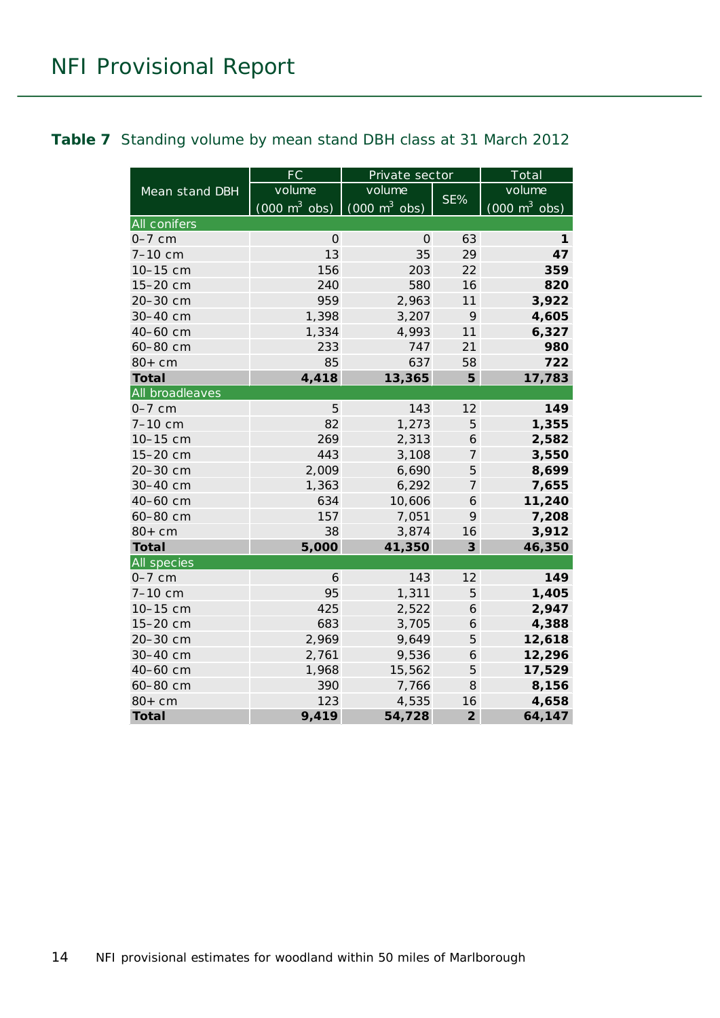#### <span id="page-13-0"></span>**Table 7** Standing volume by mean stand DBH class at 31 March 2012

|                     | FC                              | Private sector                  |                | Total                           |
|---------------------|---------------------------------|---------------------------------|----------------|---------------------------------|
| Mean stand DBH      | volume                          | volume                          |                | volume                          |
|                     | $(000 \text{ m}^3 \text{ obs})$ | $(000 \text{ m}^3 \text{ obs})$ | SE%            | $(000 \text{ m}^3 \text{ obs})$ |
| <b>All conifers</b> |                                 |                                 |                |                                 |
| $0-7$ cm            | $\Omega$                        | $\Omega$                        | 63             | 1                               |
| $7 - 10$ cm         | 13                              | 35                              | 29             | 47                              |
| 10-15 cm            | 156                             | 203                             | 22             | 359                             |
| 15-20 cm            | 240                             | 580                             | 16             | 820                             |
| 20-30 cm            | 959                             | 2,963                           | 11             | 3,922                           |
| 30-40 cm            | 1,398                           | 3,207                           | 9              | 4,605                           |
| 40-60 cm            | 1,334                           | 4,993                           | 11             | 6,327                           |
| 60-80 cm            | 233                             | 747                             | 21             | 980                             |
| $80+cm$             | 85                              | 637                             | 58             | 722                             |
| <b>Total</b>        | 4,418                           | 13,365                          | 5              | 17,783                          |
| All broadleaves     |                                 |                                 |                |                                 |
| $0-7$ cm            | 5                               | 143                             | 12             | 149                             |
| 7-10 cm             | 82                              | 1,273                           | 5              | 1,355                           |
| 10-15 cm            | 269                             | 2,313                           | 6              | 2,582                           |
| 15-20 cm            | 443                             | 3,108                           | 7              | 3,550                           |
| 20-30 cm            | 2,009                           | 6,690                           | 5              | 8,699                           |
| 30-40 cm            | 1,363                           | 6,292                           | 7              | 7,655                           |
| 40-60 cm            | 634                             | 10,606                          | 6              | 11,240                          |
| 60-80 cm            | 157                             | 7,051                           | 9              | 7,208                           |
| $80+cm$             | 38                              | 3,874                           | 16             | 3,912                           |
| <b>Total</b>        | 5,000                           | 41,350                          | 3              | 46,350                          |
| All species         |                                 |                                 |                |                                 |
| $0-7$ cm            | 6                               | 143                             | 12             | 149                             |
| $7 - 10$ cm         | 95                              | 1,311                           | 5              | 1,405                           |
| 10-15 cm            | 425                             | 2,522                           | 6              | 2,947                           |
| 15-20 cm            | 683                             | 3,705                           | 6              | 4,388                           |
| 20-30 cm            | 2,969                           | 9,649                           | 5              | 12,618                          |
| 30-40 cm            | 2,761                           | 9,536                           | 6              | 12,296                          |
| 40-60 cm            | 1,968                           | 15,562                          | 5              | 17,529                          |
| 60-80 cm            | 390                             | 7,766                           | 8              | 8,156                           |
| $80+cm$             | 123                             | 4,535                           | 16             | 4,658                           |
| <b>Total</b>        | 9,419                           | 54,728                          | $\overline{2}$ | 64,147                          |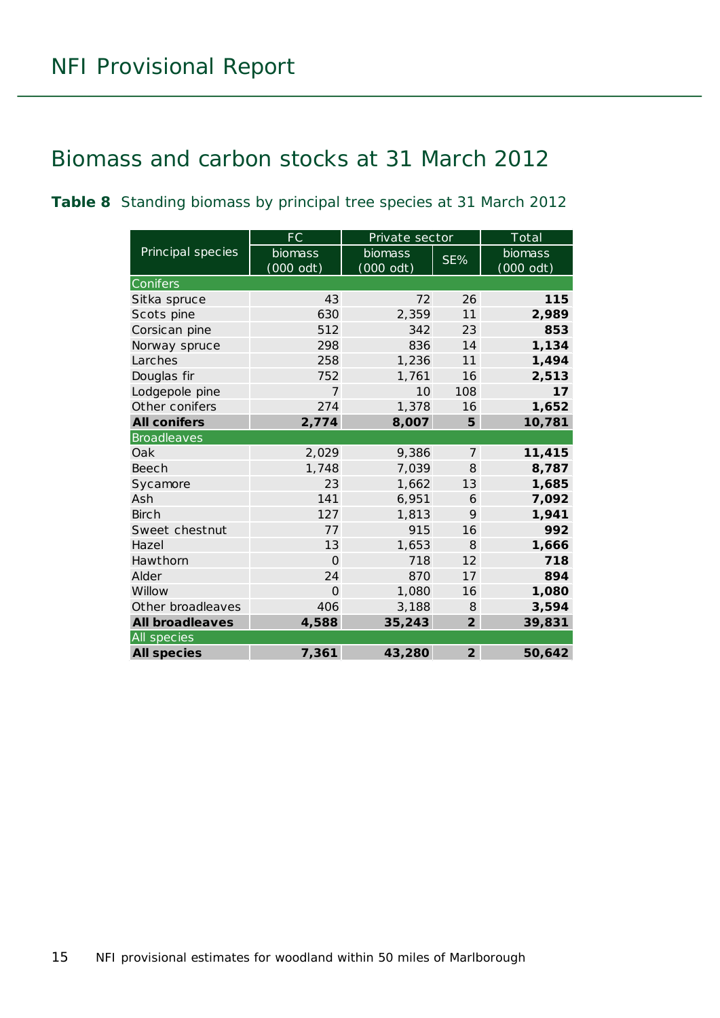### <span id="page-14-0"></span>Biomass and carbon stocks at 31 March 2012

<span id="page-14-1"></span>**Table 8** Standing biomass by principal tree species at 31 March 2012

|                        | FC             | Private sector |                | Total     |
|------------------------|----------------|----------------|----------------|-----------|
| Principal species      | <b>biomass</b> | biomass        | SE%            | biomass   |
|                        | (000 odt)      | $(000$ odt)    |                | (000 odt) |
| <b>Conifers</b>        |                |                |                |           |
| Sitka spruce           | 43             | 72             | 26             | 115       |
| Scots pine             | 630            | 2,359          | 11             | 2,989     |
| Corsican pine          | 512            | 342            | 23             | 853       |
| Norway spruce          | 298            | 836            | 14             | 1,134     |
| Larches                | 258            | 1,236          | 11             | 1,494     |
| Douglas fir            | 752            | 1,761          | 16             | 2,513     |
| Lodgepole pine         | 7              | 10             | 108            | 17        |
| Other conifers         | 274            | 1,378          | 16             | 1,652     |
| <b>All conifers</b>    | 2,774          | 8,007          | 5              | 10,781    |
| <b>Broadleaves</b>     |                |                |                |           |
| Oak                    | 2,029          | 9,386          | $\overline{7}$ | 11,415    |
| <b>Beech</b>           | 1,748          | 7,039          | 8              | 8,787     |
| Sycamore               | 23             | 1,662          | 13             | 1,685     |
| Ash                    | 141            | 6,951          | 6              | 7,092     |
| <b>Birch</b>           | 127            | 1,813          | 9              | 1,941     |
| Sweet chestnut         | 77             | 915            | 16             | 992       |
| Hazel                  | 13             | 1,653          | 8              | 1,666     |
| Hawthorn               | $\Omega$       | 718            | 12             | 718       |
| Alder                  | 24             | 870            | 17             | 894       |
| Willow                 | $\Omega$       | 1,080          | 16             | 1,080     |
| Other broadleaves      | 406            | 3,188          | 8              | 3,594     |
| <b>All broadleaves</b> | 4,588          | 35,243         | $\overline{2}$ | 39,831    |
| All species            |                |                |                |           |
| <b>All species</b>     | 7,361          | 43,280         | $\overline{2}$ | 50,642    |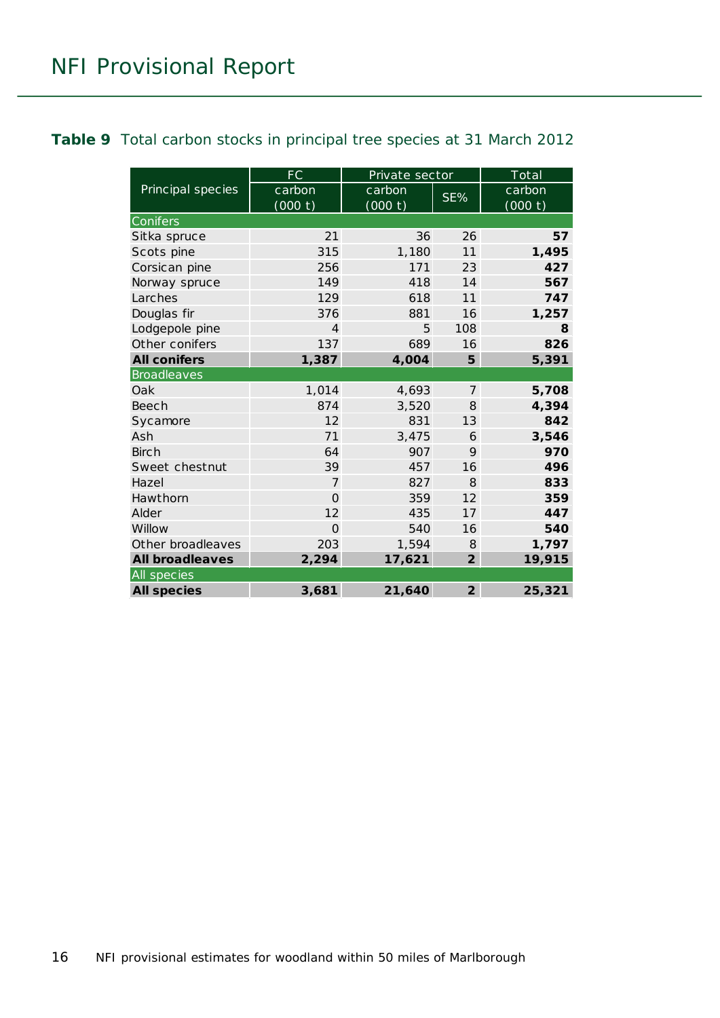#### <span id="page-15-0"></span>**Table 9** Total carbon stocks in principal tree species at 31 March 2012

|                        | <b>FC</b>         | Private sector    |                | Total             |  |  |
|------------------------|-------------------|-------------------|----------------|-------------------|--|--|
| Principal species      | carbon<br>(000 t) | carbon<br>(000 t) | SE%            | carbon<br>(000 t) |  |  |
| Conifers               |                   |                   |                |                   |  |  |
| Sitka spruce           | 21                | 36                | 26             | 57                |  |  |
| Scots pine             | 315               | 1,180             | 11             | 1,495             |  |  |
| Corsican pine          | 256               | 171               | 23             | 427               |  |  |
| Norway spruce          | 149               | 418               | 14             | 567               |  |  |
| Larches                | 129               | 618               | 11             | 747               |  |  |
| Douglas fir            | 376               | 881               | 16             | 1,257             |  |  |
| Lodgepole pine         | $\overline{4}$    | 5                 | 108            | 8                 |  |  |
| Other conifers         | 137               | 689               | 16             | 826               |  |  |
| <b>All conifers</b>    | 1,387             | 4,004             | 5              | 5,391             |  |  |
| <b>Broadleaves</b>     |                   |                   |                |                   |  |  |
| Oak                    | 1,014             | 4,693             | $\overline{7}$ | 5,708             |  |  |
| Beech                  | 874               | 3,520             | 8              | 4,394             |  |  |
| Sycamore               | 12                | 831               | 13             | 842               |  |  |
| Ash                    | 71                | 3,475             | 6              | 3,546             |  |  |
| Birch                  | 64                | 907               | 9              | 970               |  |  |
| Sweet chestnut         | 39                | 457               | 16             | 496               |  |  |
| Hazel                  | $\overline{7}$    | 827               | 8              | 833               |  |  |
| Hawthorn               | $\Omega$          | 359               | 12             | 359               |  |  |
| Alder                  | 12                | 435               | 17             | 447               |  |  |
| Willow                 | $\Omega$          | 540               | 16             | 540               |  |  |
| Other broadleaves      | 203               | 1,594             | 8              | 1,797             |  |  |
| <b>All broadleaves</b> | 2,294             | 17,621            | $\overline{2}$ | 19,915            |  |  |
| All species            |                   |                   |                |                   |  |  |
| <b>All species</b>     | 3,681             | 21,640            | $\overline{2}$ | 25,321            |  |  |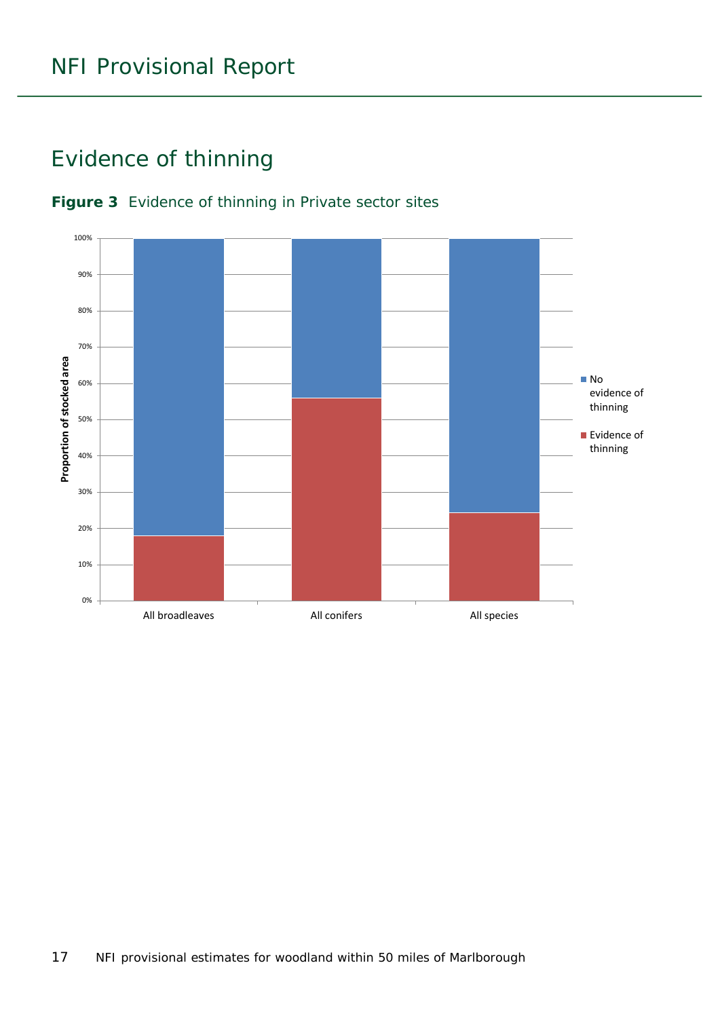### <span id="page-16-0"></span>Evidence of thinning



#### <span id="page-16-1"></span>**Figure 3** Evidence of thinning in Private sector sites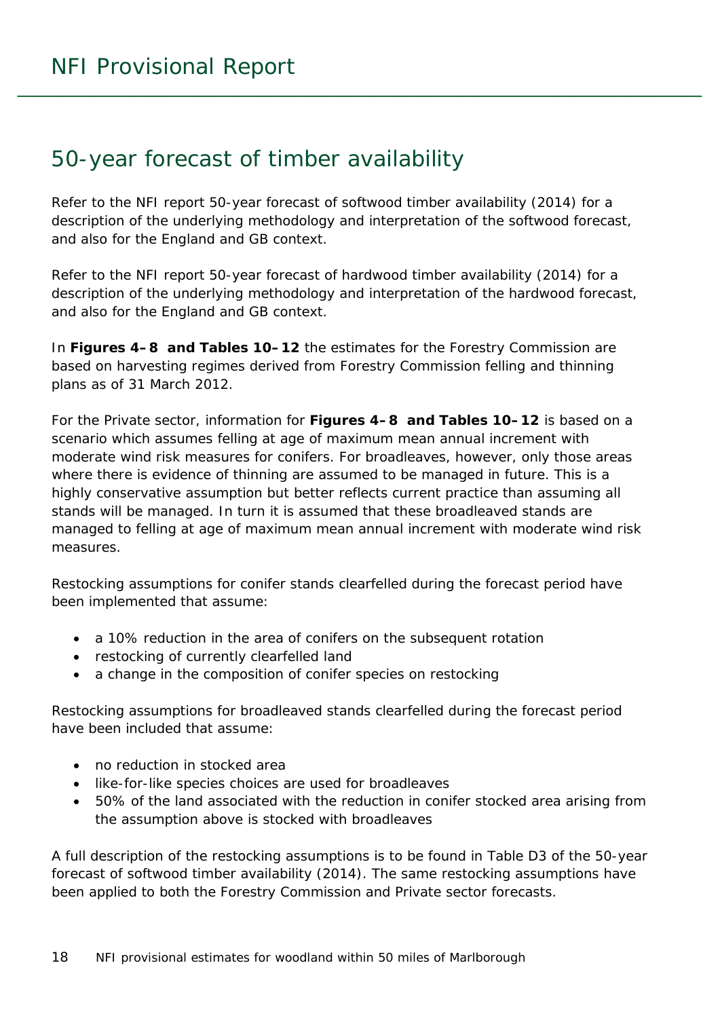### <span id="page-17-0"></span>50-year forecast of timber availability

Refer to the NFI report *50-year forecast of softwood timber availability* (2014) for a description of the underlying methodology and interpretation of the softwood forecast, and also for the England and GB context.

Refer to the NFI report *50-year forecast of hardwood timber availability* (2014) for a description of the underlying methodology and interpretation of the hardwood forecast, and also for the England and GB context.

In **Figures 4–8 and Tables 10–12** the estimates for the Forestry Commission are based on harvesting regimes derived from Forestry Commission felling and thinning plans as of 31 March 2012.

For the Private sector, information for **Figures 4–8 and Tables 10–12** is based on a scenario which assumes felling at age of maximum mean annual increment with moderate wind risk measures for conifers. For broadleaves, however, only those areas where there is evidence of thinning are assumed to be managed in future. This is a highly conservative assumption but better reflects current practice than assuming all stands will be managed. In turn it is assumed that these broadleaved stands are managed to felling at age of maximum mean annual increment with moderate wind risk measures.

Restocking assumptions for conifer stands clearfelled during the forecast period have been implemented that assume:

- a 10% reduction in the area of conifers on the subsequent rotation
- restocking of currently clearfelled land
- a change in the composition of conifer species on restocking

Restocking assumptions for broadleaved stands clearfelled during the forecast period have been included that assume:

- no reduction in stocked area
- like-for-like species choices are used for broadleaves
- 50% of the land associated with the reduction in conifer stocked area arising from the assumption above is stocked with broadleaves

A full description of the restocking assumptions is to be found in Table D3 of the *50-year forecast of softwood timber availability* (2014). The same restocking assumptions have been applied to both the Forestry Commission and Private sector forecasts.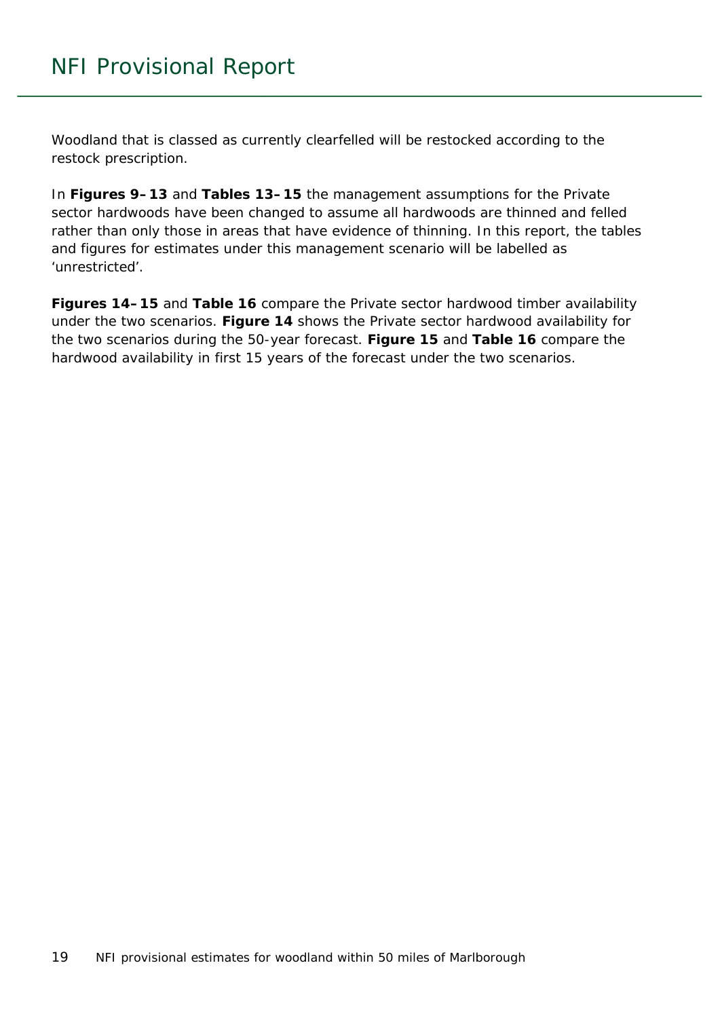Woodland that is classed as currently clearfelled will be restocked according to the restock prescription.

In **Figures 9–13** and **Tables 13–15** the management assumptions for the Private sector hardwoods have been changed to assume all hardwoods are thinned and felled rather than only those in areas that have evidence of thinning. In this report, the tables and figures for estimates under this management scenario will be labelled as 'unrestricted'.

**Figures 14–15** and **Table 16** compare the Private sector hardwood timber availability under the two scenarios. **Figure 14** shows the Private sector hardwood availability for the two scenarios during the 50-year forecast. **Figure 15** and **Table 16** compare the hardwood availability in first 15 years of the forecast under the two scenarios.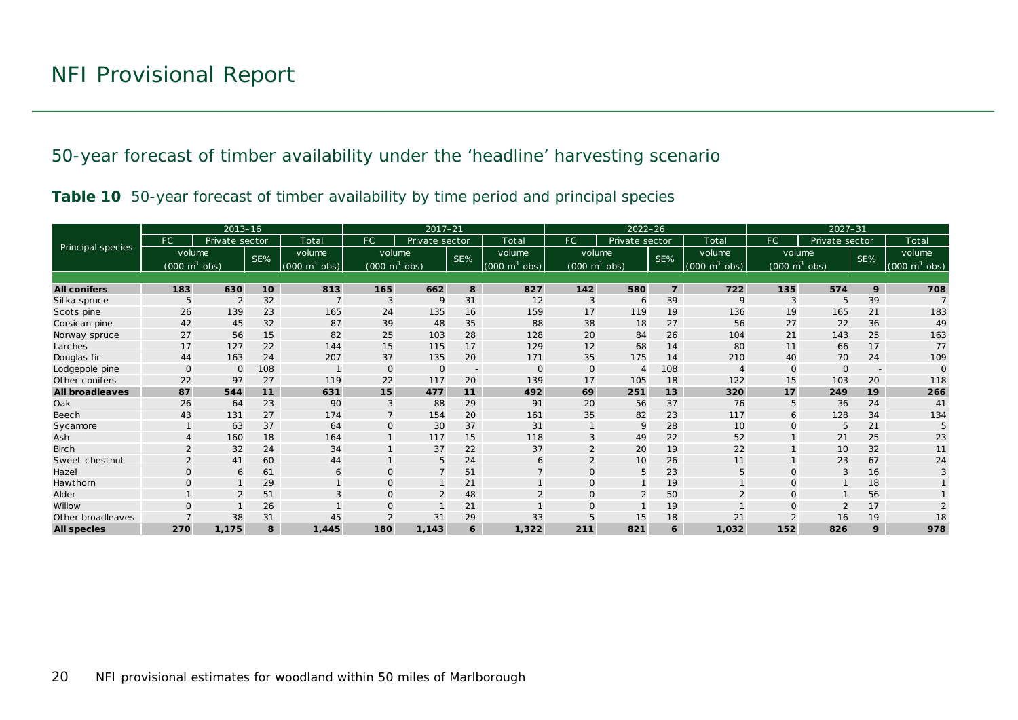50-year forecast of timber availability under the 'headline' harvesting scenario

|  |  | Table 10 50-year forecast of timber availability by time period and principal species |  |  |
|--|--|---------------------------------------------------------------------------------------|--|--|
|  |  |                                                                                       |  |  |

<span id="page-19-1"></span><span id="page-19-0"></span>

|                        |                                 | $2013 - 16$    |     |                               |                                 | $2017 - 21$    |                          |                             | $2022 - 26$                     |                |                |                                 | $2027 - 31$                     |                |                          |                                 |
|------------------------|---------------------------------|----------------|-----|-------------------------------|---------------------------------|----------------|--------------------------|-----------------------------|---------------------------------|----------------|----------------|---------------------------------|---------------------------------|----------------|--------------------------|---------------------------------|
|                        | FC.                             | Private sector |     | Total                         | FC                              | Private sector |                          | Total                       | FC.                             | Private sector |                | Total                           | FC                              | Private sector |                          | Total                           |
| Principal species      | volume                          |                | SE% | volume                        | volume                          |                | SE%                      | volume                      | volume                          |                | SE%            | volume                          | volume                          |                | SE%                      | volume                          |
|                        | $(000 \text{ m}^3 \text{ obs})$ |                |     | $(000 \; \text{m}^3)$<br>obs) | $(000 \text{ m}^3 \text{ obs})$ |                |                          | $(000 \text{ m}^3)$<br>obs) | $(000 \text{ m}^3 \text{ obs})$ |                |                | $(000 \text{ m}^3 \text{ obs})$ | $(000 \text{ m}^3 \text{ obs})$ |                |                          | $(000 \text{ m}^3 \text{ obs})$ |
|                        |                                 |                |     |                               |                                 |                |                          |                             |                                 |                |                |                                 |                                 |                |                          |                                 |
| <b>All conifers</b>    | 183                             | 630            | 10  | 813                           | 165                             | 662            | 8                        | 827                         | 142                             | 580            | $\overline{7}$ | 722                             | 135                             | 574            | 9                        | 708                             |
| Sitka spruce           | 5                               | $\overline{2}$ | 32  |                               | 3                               | 9              | 31                       | 12                          | 3                               | 6              | 39             | 9                               | 3                               |                | 39                       | $\overline{7}$                  |
| Scots pine             | 26                              | 139            | 23  | 165                           | 24                              | 135            | 16                       | 159                         | 17                              | 119            | 19             | 136                             | 19                              | 165            | 21                       | 183                             |
| Corsican pine          | 42                              | 45             | 32  | 87                            | 39                              | 48             | 35                       | 88                          | 38                              | 18             | 27             | 56                              | 27                              | 22             | 36                       | 49                              |
| Norway spruce          | 27                              | 56             | 15  | 82                            | 25                              | 103            | 28                       | 128                         | 20                              | 84             | 26             | 104                             | 21                              | 143            | 25                       | 163                             |
| Larches                | 17                              | 127            | 22  | 144                           | 15                              | 115            | 17                       | 129                         | 12                              | 68             | 14             | 80                              | 11                              | 66             | 17                       | 77                              |
| Douglas fir            | 44                              | 163            | 24  | 207                           | 37                              | 135            | 20                       | 171                         | 35                              | 175            | 14             | 210                             | 40                              | 70             | 24                       | 109                             |
| Lodgepole pine         | $\mathbf 0$                     | $\Omega$       | 108 |                               | $\Omega$                        | $\mathbf{O}$   | $\overline{\phantom{a}}$ | $\Omega$                    | $\Omega$                        | $\overline{4}$ | 108            |                                 | $\Omega$                        |                | $\overline{\phantom{a}}$ | $\Omega$                        |
| Other conifers         | 22                              | 97             | 27  | 119                           | 22                              | 117            | 20                       | 139                         | 17                              | 105            | 18             | 122                             | 15                              | 103            | 20                       | 118                             |
| <b>All broadleaves</b> | 87                              | 544            | 11  | 631                           | 15                              | 477            | 11                       | 492                         | 69                              | 251            | 13             | 320                             | 17                              | 249            | 19                       | 266                             |
| Oak                    | 26                              | 64             | 23  | 90                            | 3                               | 88             | 29                       | 91                          | 20                              | 56             | 37             | 76                              | 5                               | 36             | 24                       | 41                              |
| Beech                  | 43                              | 131            | 27  | 174                           | $\overline{7}$                  | 154            | 20                       | 161                         | 35                              | 82             | 23             | 117                             | 6                               | 128            | 34                       | 134                             |
| Sycamore               |                                 | 63             | 37  | 64                            | $\mathbf{O}$                    | 30             | 37                       | 31                          |                                 | 9              | 28             | 10                              | $\Omega$                        | 5              | 21                       | 5                               |
| Ash                    |                                 | 160            | 18  | 164                           |                                 | 117            | 15                       | 118                         | 3                               | 49             | 22             | 52                              |                                 | 21             | 25                       | 23                              |
| <b>Birch</b>           |                                 | 32             | 24  | 34                            |                                 | 37             | 22                       | 37                          |                                 | 20             | 19             | 22                              |                                 | 10             | 32                       | 11                              |
| Sweet chestnut         | $\overline{2}$                  | 41             | 60  | 44                            |                                 | 5              | 24                       | 6                           | $\overline{2}$                  | 10             | 26             | 11                              |                                 | 23             | 67                       | 24                              |
| Hazel                  | $\Omega$                        | 6              | 61  | 6                             | $\Omega$                        | $\overline{7}$ | 51                       | $\overline{7}$              | $\Omega$                        | 5              | 23             | 5                               | $\Omega$                        | 3              | 16                       |                                 |
| Hawthorn               | $\mathbf{O}$                    |                | 29  |                               | $\mathbf 0$                     |                | 21                       |                             | $\mathsf{O}$                    |                | 19             |                                 | $\mathbf{O}$                    |                | 18                       |                                 |
| Alder                  |                                 |                | 51  |                               | $\Omega$                        | $\overline{2}$ | 48                       |                             | $\Omega$                        | $\overline{2}$ | 50             |                                 | $\Omega$                        |                | 56                       |                                 |
| Willow                 | $\Omega$                        |                | 26  |                               |                                 |                | 21                       |                             | $\Omega$                        |                | 19             |                                 | $\Omega$                        |                | 17                       |                                 |
| Other broadleaves      |                                 | 38             | 31  | 45                            | 2                               | 31             | 29                       | 33                          |                                 | 15             | 18             | 21                              |                                 | 16             | 19                       | 18                              |
| <b>All species</b>     | 270                             | 1,175          | 8   | 1,445                         | 180                             | 1,143          | 6                        | 1,322                       | 211                             | 821            | 6              | 1,032                           | 152                             | 826            | 9                        | 978                             |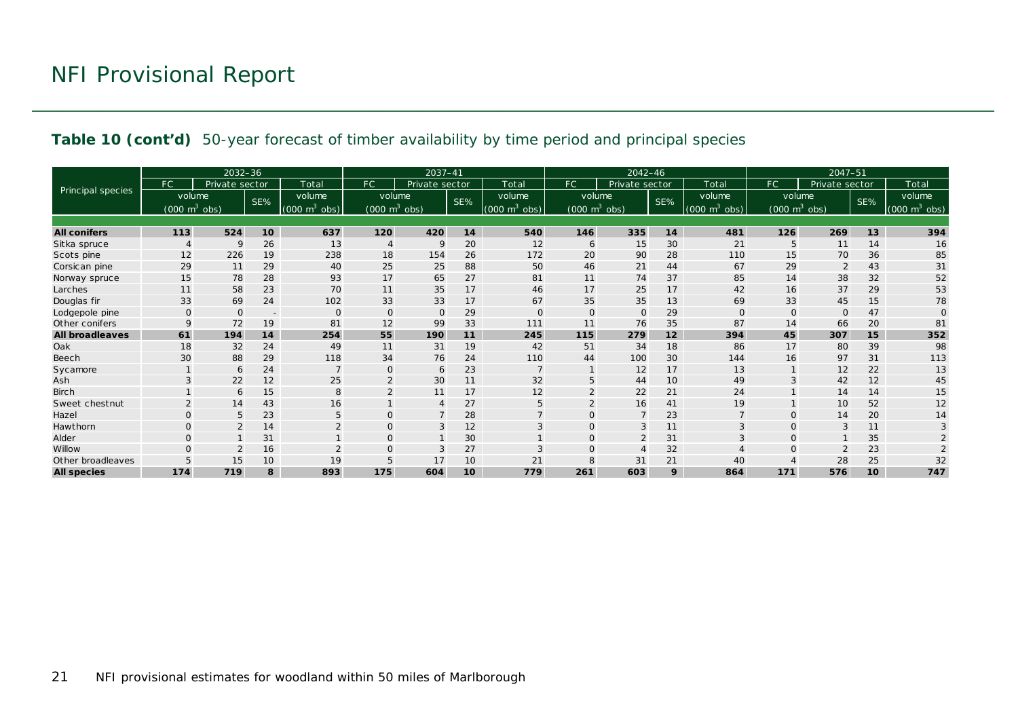#### **Table 10 (cont'd)** 50-year forecast of timber availability by time period and principal species

|                        |                                 | 2032-36        |        |                                 |                                 | 2037-41        |     |                             |                                     | $2042 - 46$    |     |                    |                                 | $2047 - 51$    |     |                                 |
|------------------------|---------------------------------|----------------|--------|---------------------------------|---------------------------------|----------------|-----|-----------------------------|-------------------------------------|----------------|-----|--------------------|---------------------------------|----------------|-----|---------------------------------|
|                        | FC.                             | Private sector |        | Total                           | FC                              | Private sector |     | Total                       | FC.                                 | Private sector |     | Total              | FC.                             | Private sector |     | Total                           |
| Principal species      | volume                          |                | SE%    | volume                          | volume                          |                | SE% | volume                      | volume                              |                | SE% | volume             | volume                          |                | SE% | volume                          |
|                        | $(000 \text{ m}^3 \text{ obs})$ |                |        | $(000 \text{ m}^3 \text{ obs})$ | $(000 \text{ m}^3 \text{ obs})$ |                |     | $(000 \text{ m}^3)$<br>obs) | $(000 \; \text{m}^3 \; \text{obs})$ |                |     | $m3$ obs)<br>(000) | $(000 \text{ m}^3 \text{ obs})$ |                |     | $(000 \text{ m}^3 \text{ obs})$ |
|                        |                                 |                |        |                                 |                                 |                |     |                             |                                     |                |     |                    |                                 |                |     |                                 |
| <b>All conifers</b>    | 113                             | 524            | 10     | 637                             | 120                             | 420            | 14  | 540                         | 146                                 | 335            | 14  | 481                | 126                             | 269            | 13  | 394                             |
| Sitka spruce           |                                 | 9              | 26     | 13                              | $\overline{4}$                  | 9              | 20  | 12                          | 6                                   | 15             | 30  | 21                 | 5                               | 11             | 14  | 16                              |
| Scots pine             | 12                              | 226            | 19     | 238                             | 18                              | 154            | 26  | 172                         | 20                                  | 90             | 28  | 110                | 15                              | 70             | 36  | 85                              |
| Corsican pine          | 29                              | 11             | 29     | 40                              | 25                              | 25             | 88  | 50                          | 46                                  | 21             | 44  | 67                 | 29                              | 2              | 43  | 31                              |
| Norway spruce          | 15                              | 78             | 28     | 93                              | 17                              | 65             | 27  | 81                          | 11                                  | 74             | 37  | 85                 | 14                              | 38             | 32  | 52                              |
| Larches                | 11                              | 58             | 23     | 70                              | 11                              | 35             | 17  | 46                          | 17                                  | 25             | 17  | 42                 | 16                              | 37             | 29  | 53                              |
| Douglas fir            | 33                              | 69             | 24     | 102                             | 33                              | 33             | 17  | 67                          | 35                                  | 35             | 13  | 69                 | 33                              | 45             | 15  | 78                              |
| Lodgepole pine         | $\mathbf{O}$                    | $\Omega$       | $\sim$ | $\mathbf{0}$                    | $\mathbf 0$                     | $\mathbf{0}$   | 29  | $\mathbf 0$                 | $\mathbf{O}$                        | $\mathbf{0}$   | 29  | $\Omega$           | $\mathbf 0$                     | $\Omega$       | 47  | $\Omega$                        |
| Other conifers         | 9                               | 72             | 19     | 81                              | 12                              | 99             | 33  | 111                         | 11                                  | 76             | 35  | 87                 | 14                              | 66             | 20  | 81                              |
| <b>All broadleaves</b> | 61                              | 194            | 14     | 254                             | 55                              | 190            | 11  | 245                         | 115                                 | 279            | 12  | 394                | 45                              | 307            | 15  | 352                             |
| Oak                    | 18                              | 32             | 24     | 49                              | 11                              | 31             | 19  | 42                          | 51                                  | 34             | 18  | 86                 | 17                              | 80             | 39  | 98                              |
| Beech                  | 30                              | 88             | 29     | 118                             | 34                              | 76             | 24  | 110                         | 44                                  | 100            | 30  | 144                | 16                              | 97             | 31  | 113                             |
| Sycamore               |                                 | 6              | 24     |                                 | $\overline{0}$                  | 6              | 23  | $\overline{7}$              |                                     | 12             | 17  | 13                 |                                 | 12             | 22  | 13                              |
| Ash                    | 3                               | 22             | 12     | 25                              | 2                               | 30             | 11  | 32                          |                                     | 44             | 10  | 49                 | 3                               | 42             | 12  | 45                              |
| <b>Birch</b>           |                                 | 6              | 15     | 8                               | $\overline{2}$                  | 11             | 17  | 12                          |                                     | 22             | 21  | 24                 |                                 | 14             | 14  | 15                              |
| Sweet chestnut         |                                 | 14             | 43     | 16                              |                                 | $\overline{A}$ | 27  | 5                           |                                     | 16             | 41  | 19                 |                                 | 10             | 52  | 12                              |
| Hazel                  | $\Omega$                        | 5              | 23     | 5                               | $\overline{0}$                  | $\overline{7}$ | 28  | $\overline{7}$              |                                     | $\overline{7}$ | 23  |                    | $\Omega$                        | 14             | 20  | 14                              |
| Hawthorn               | $\Omega$                        | $\overline{2}$ | 14     | 2                               | $\mathbf{O}$                    | 3              | 12  | 3                           | $\Omega$                            | 3              | 11  | 3                  | $\Omega$                        | 3              | 11  | 3                               |
| Alder                  | $\Omega$                        |                | 31     |                                 | $\mathbf{O}$                    |                | 30  |                             | $\Omega$                            | $\overline{2}$ | 31  |                    | $\Omega$                        |                | 35  |                                 |
| Willow                 | $\Omega$                        |                | 16     |                                 | $\mathbf{O}$                    | 3              | 27  | 3                           |                                     | $\Delta$       | 32  |                    | $\Omega$                        |                | 23  |                                 |
| Other broadleaves      |                                 | 15             | 10     | 19                              | 5                               | 17             | 10  | 21                          |                                     | 31             | 21  | 40                 |                                 | 28             | 25  | 32                              |
| <b>All species</b>     | 174                             | 719            | 8      | 893                             | 175                             | 604            | 10  | 779                         | 261                                 | 603            | 9   | 864                | 171                             | 576            | 10  | 747                             |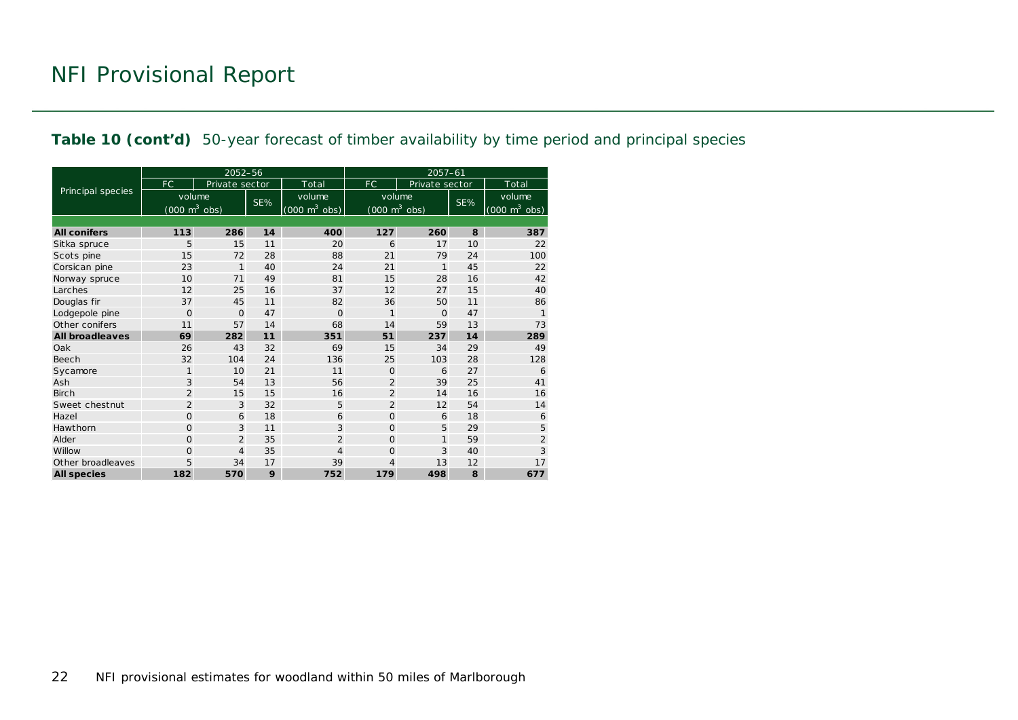#### **Table 10 (cont'd)** 50-year forecast of timber availability by time period and principal species

|                        |                                     | 2052-56        |     |                                     | $2057 - 61$                         |                |     |                                 |  |  |
|------------------------|-------------------------------------|----------------|-----|-------------------------------------|-------------------------------------|----------------|-----|---------------------------------|--|--|
|                        | <b>FC</b>                           | Private sector |     | Total                               | FC.                                 | Private sector |     | Total                           |  |  |
| Principal species      | volume                              |                | SE% | volume                              | volume                              |                | SE% | volume                          |  |  |
|                        | $(000 \; \text{m}^3 \; \text{obs})$ |                |     | $(000 \; \text{m}^3 \; \text{obs})$ | $(000 \; \text{m}^3 \; \text{obs})$ |                |     | $(000 \text{ m}^3 \text{ obs})$ |  |  |
|                        |                                     |                |     |                                     |                                     |                |     |                                 |  |  |
| <b>All conifers</b>    | 113                                 | 286            | 14  | 400                                 | 127                                 | 260            | 8   | 387                             |  |  |
| Sitka spruce           | 5                                   | 15             | 11  | 20                                  | 6                                   | 17             | 10  | 22                              |  |  |
| Scots pine             | 15                                  | 72             | 28  | 88                                  | 21                                  | 79             | 24  | 100                             |  |  |
| Corsican pine          | 23                                  | $\mathbf{1}$   | 40  | 24                                  | 21                                  | 1              | 45  | 22                              |  |  |
| Norway spruce          | 10                                  | 71             | 49  | 81                                  | 15                                  | 28             | 16  | 42                              |  |  |
| Larches                | 12                                  | 25             | 16  | 37                                  | 12                                  | 27             | 15  | 40                              |  |  |
| Douglas fir            | 37                                  | 45             | 11  | 82                                  | 36                                  | 50             | 11  | 86                              |  |  |
| Lodgepole pine         | $\Omega$                            | $\Omega$       | 47  | $\Omega$                            | 1                                   | $\Omega$       | 47  |                                 |  |  |
| Other conifers         | 11                                  | 57             | 14  | 68                                  | 14                                  | 59             | 13  | 73                              |  |  |
| <b>All broadleaves</b> | 69                                  | 282            | 11  | 351                                 | 51                                  | 237            | 14  | 289                             |  |  |
| Oak                    | 26                                  | 43             | 32  | 69                                  | 15                                  | 34             | 29  | 49                              |  |  |
| Beech                  | 32                                  | 104            | 24  | 136                                 | 25                                  | 103            | 28  | 128                             |  |  |
| Sycamore               | $\mathbf{1}$                        | 10             | 21  | 11                                  | $\Omega$                            | 6              | 27  | 6                               |  |  |
| Ash                    | 3                                   | 54             | 13  | 56                                  | $\overline{2}$                      | 39             | 25  | 41                              |  |  |
| <b>Birch</b>           | $\overline{2}$                      | 15             | 15  | 16                                  | $\overline{2}$                      | 14             | 16  | 16                              |  |  |
| Sweet chestnut         | $\overline{2}$                      | 3              | 32  | 5                                   | $\overline{2}$                      | 12             | 54  | 14                              |  |  |
| Hazel                  | $\mathbf{O}$                        | 6              | 18  | 6                                   | $\Omega$                            | 6              | 18  | 6                               |  |  |
| Hawthorn               | $\mathbf{O}$                        | 3              | 11  | 3                                   | $\Omega$                            | 5              | 29  | 5                               |  |  |
| Alder                  | $\Omega$                            | $\overline{2}$ | 35  | $\overline{2}$                      | $\Omega$                            | $\mathbf{1}$   | 59  | $\overline{2}$                  |  |  |
| Willow                 | $\mathbf{O}$                        | $\overline{4}$ | 35  | 4                                   | $\Omega$                            | 3              | 40  | 3                               |  |  |
| Other broadleaves      | 5                                   | 34             | 17  | 39                                  | 4                                   | 13             | 12  | 17                              |  |  |
| <b>All species</b>     | 182                                 | 570            | 9   | 752                                 | 179                                 | 498            | 8   | 677                             |  |  |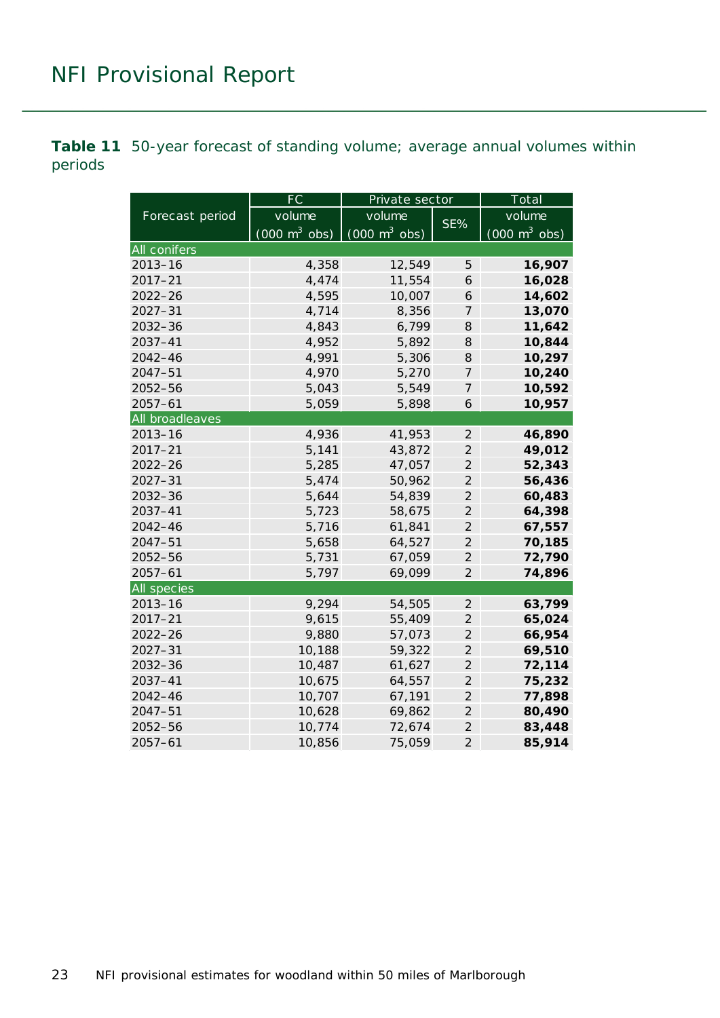<span id="page-22-0"></span>**Table 11** 50-year forecast of standing volume; average annual volumes within periods

|                    | $\overline{FC}$                 | Private sector                  |                | Total                               |
|--------------------|---------------------------------|---------------------------------|----------------|-------------------------------------|
| Forecast period    | volume                          | volume                          |                | volume                              |
|                    | $(000 \text{ m}^3 \text{ obs})$ | $(000 \text{ m}^3 \text{ obs})$ | $SE\%$         | $(000 \; \text{m}^3 \; \text{obs})$ |
| All conifers       |                                 |                                 |                |                                     |
| $2013 - 16$        | 4,358                           | 12,549                          | 5              | 16,907                              |
| $2017 - 21$        | 4,474                           | 11,554                          | 6              | 16,028                              |
| $2022 - 26$        | 4,595                           | 10,007                          | 6              | 14,602                              |
| $2027 - 31$        | 4,714                           | 8,356                           | 7              | 13,070                              |
| $2032 - 36$        | 4,843                           | 6,799                           | 8              | 11,642                              |
| 2037-41            | 4,952                           | 5,892                           | 8              | 10,844                              |
| $2042 - 46$        | 4,991                           | 5,306                           | 8              | 10,297                              |
| $2047 - 51$        | 4,970                           | 5,270                           | $\overline{7}$ | 10,240                              |
| $2052 - 56$        | 5,043                           | 5,549                           | $\overline{7}$ | 10,592                              |
| $2057 - 61$        | 5,059                           | 5,898                           | 6              | 10,957                              |
| All broadleaves    |                                 |                                 |                |                                     |
| $2013 - 16$        | 4,936                           | 41,953                          | $\overline{2}$ | 46,890                              |
| $2017 - 21$        | 5,141                           | 43,872                          | $\overline{2}$ | 49,012                              |
| $2022 - 26$        | 5,285                           | 47,057                          | $\overline{2}$ | 52,343                              |
| $2027 - 31$        | 5,474                           | 50,962                          | $\overline{2}$ | 56,436                              |
| $2032 - 36$        | 5,644                           | 54,839                          | $\overline{2}$ | 60,483                              |
| 2037-41            | 5,723                           | 58,675                          | $\overline{2}$ | 64,398                              |
| $2042 - 46$        | 5,716                           | 61,841                          | $\overline{2}$ | 67,557                              |
| $2047 - 51$        | 5,658                           | 64,527                          | $\overline{2}$ | 70,185                              |
| $2052 - 56$        | 5,731                           | 67,059                          | $\overline{2}$ | 72,790                              |
| $2057 - 61$        | 5,797                           | 69,099                          | $\overline{2}$ | 74,896                              |
| <b>All species</b> |                                 |                                 |                |                                     |
| $2013 - 16$        | 9,294                           | 54,505                          | $\overline{2}$ | 63,799                              |
| $2017 - 21$        | 9,615                           | 55,409                          | $\overline{2}$ | 65,024                              |
| $2022 - 26$        | 9,880                           | 57,073                          | $\overline{2}$ | 66,954                              |
| $2027 - 31$        | 10,188                          | 59,322                          | $\overline{2}$ | 69,510                              |
| $2032 - 36$        | 10,487                          | 61,627                          | $\overline{2}$ | 72,114                              |
| 2037-41            | 10,675                          | 64,557                          | $\overline{2}$ | 75,232                              |
| $2042 - 46$        | 10,707                          | 67,191                          | $\overline{2}$ | 77,898                              |
| $2047 - 51$        | 10,628                          | 69,862                          | $\overline{2}$ | 80,490                              |
| 2052-56            | 10,774                          | 72,674                          | $\overline{a}$ | 83,448                              |
| $2057 - 61$        | 10,856                          | 75,059                          | $\overline{2}$ | 85,914                              |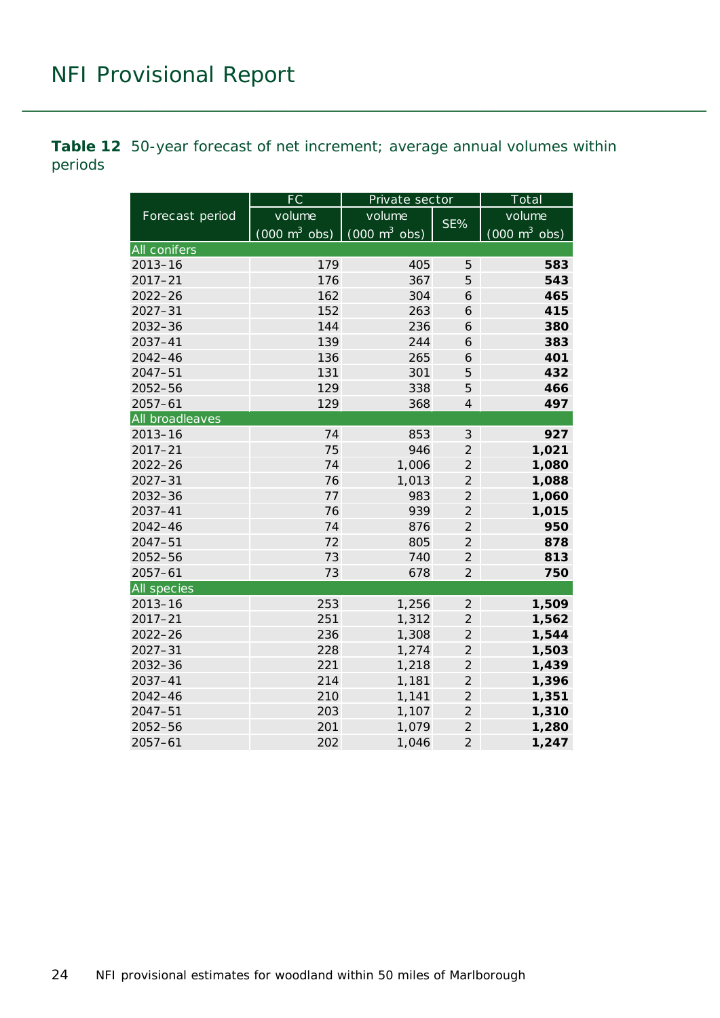<span id="page-23-0"></span>**Table 12** 50-year forecast of net increment; average annual volumes within periods

|                 | FC                              | Private sector                  |                | Total                           |  |  |
|-----------------|---------------------------------|---------------------------------|----------------|---------------------------------|--|--|
| Forecast period | volume                          | volume                          | SE%            | volume                          |  |  |
|                 | $(000 \text{ m}^3 \text{ obs})$ | $(000 \text{ m}^3 \text{ obs})$ |                | $(000 \text{ m}^3 \text{ obs})$ |  |  |
| All conifers    |                                 |                                 |                |                                 |  |  |
| $2013 - 16$     | 179                             | 405                             | 5              | 583                             |  |  |
| $2017 - 21$     | 176                             | 367                             | 5              | 543                             |  |  |
| $2022 - 26$     | 162                             | 304                             | 6              | 465                             |  |  |
| $2027 - 31$     | 152                             | 263                             | 6              | 415                             |  |  |
| $2032 - 36$     | 144                             | 236                             | 6              | 380                             |  |  |
| 2037-41         | 139                             | 244                             | 6              | 383                             |  |  |
| $2042 - 46$     | 136                             | 265                             | 6              | 401                             |  |  |
| $2047 - 51$     | 131                             | 301                             | 5              | 432                             |  |  |
| 2052-56         | 129                             | 338                             | 5              | 466                             |  |  |
| $2057 - 61$     | 129                             | 368                             | $\overline{4}$ | 497                             |  |  |
| All broadleaves |                                 |                                 |                |                                 |  |  |
| $2013 - 16$     | 74                              | 853                             | $\mathfrak{Z}$ | 927                             |  |  |
| $2017 - 21$     | 75                              | 946                             | $\overline{2}$ | 1,021                           |  |  |
| $2022 - 26$     | 74                              | 1,006                           | $\overline{2}$ | 1,080                           |  |  |
| $2027 - 31$     | 76                              | 1,013                           | $\overline{2}$ | 1,088                           |  |  |
| 2032-36         | 77                              | 983                             | $\overline{2}$ | 1,060                           |  |  |
| $2037 - 41$     | 76                              | 939                             | $\overline{2}$ | 1,015                           |  |  |
| $2042 - 46$     | 74                              | 876                             | $\overline{2}$ | 950                             |  |  |
| $2047 - 51$     | 72                              | 805                             | $\overline{2}$ | 878                             |  |  |
| 2052-56         | 73                              | 740                             | $\overline{2}$ | 813                             |  |  |
| $2057 - 61$     | 73                              | 678                             | $\overline{2}$ | 750                             |  |  |
| All species     |                                 |                                 |                |                                 |  |  |
| $2013 - 16$     | 253                             | 1,256                           | $\overline{2}$ | 1,509                           |  |  |
| $2017 - 21$     | 251                             | 1,312                           | $\overline{2}$ | 1,562                           |  |  |
| $2022 - 26$     | 236                             | 1,308                           | $\overline{2}$ | 1,544                           |  |  |
| $2027 - 31$     | 228                             | 1,274                           | $\overline{2}$ | 1,503                           |  |  |
| 2032-36         | 221                             | 1,218                           | $\overline{2}$ | 1,439                           |  |  |
| $2037 - 41$     | 214                             | 1,181                           | $\overline{2}$ | 1,396                           |  |  |
| $2042 - 46$     | 210                             | 1,141                           | $\overline{2}$ | 1,351                           |  |  |
| $2047 - 51$     | 203                             | 1,107                           | $\overline{2}$ | 1,310                           |  |  |
| 2052-56         | 201                             | 1,079                           | $\overline{2}$ | 1,280                           |  |  |
| $2057 - 61$     | 202                             | 1,046                           | $\overline{2}$ | 1,247                           |  |  |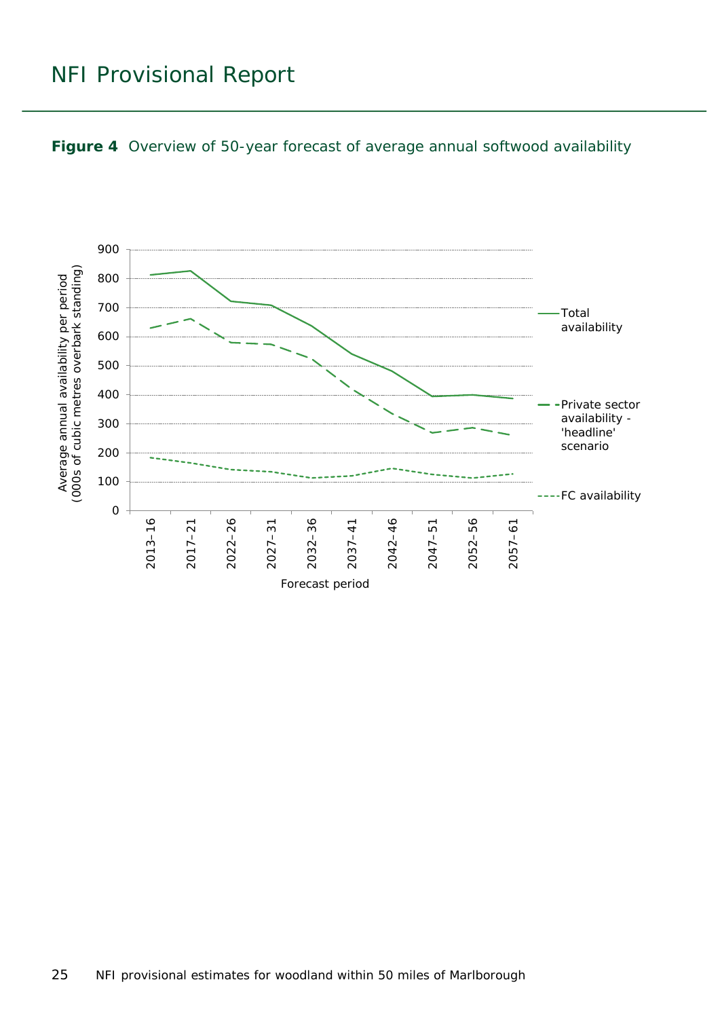<span id="page-24-0"></span>

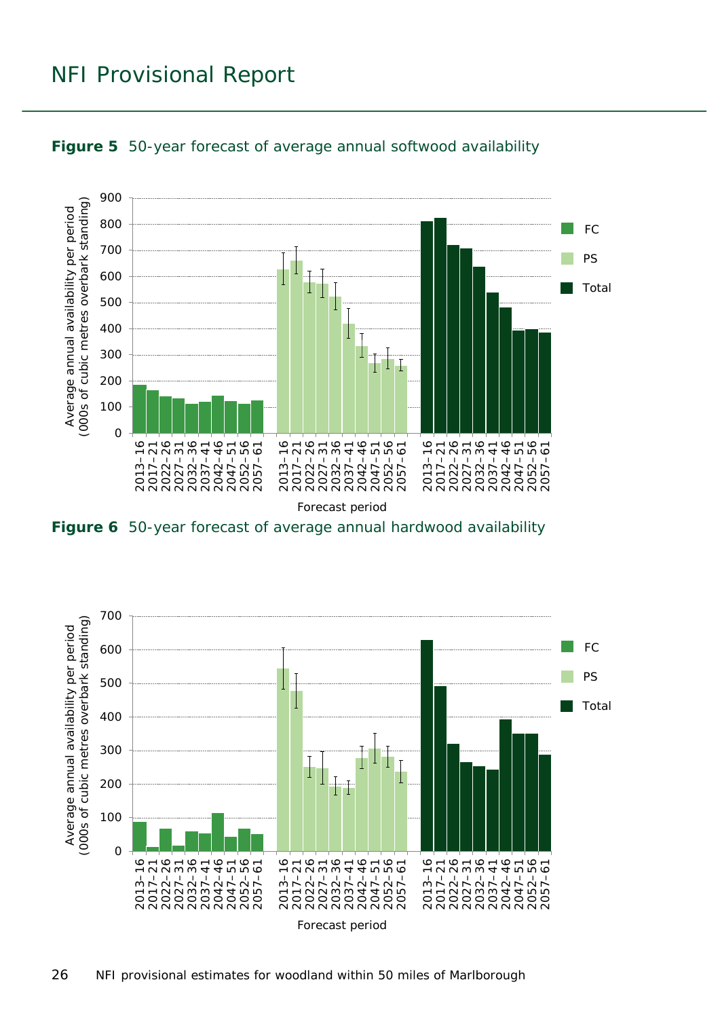

<span id="page-25-0"></span>

<span id="page-25-1"></span>**Figure 6** 50-year forecast of average annual hardwood availability

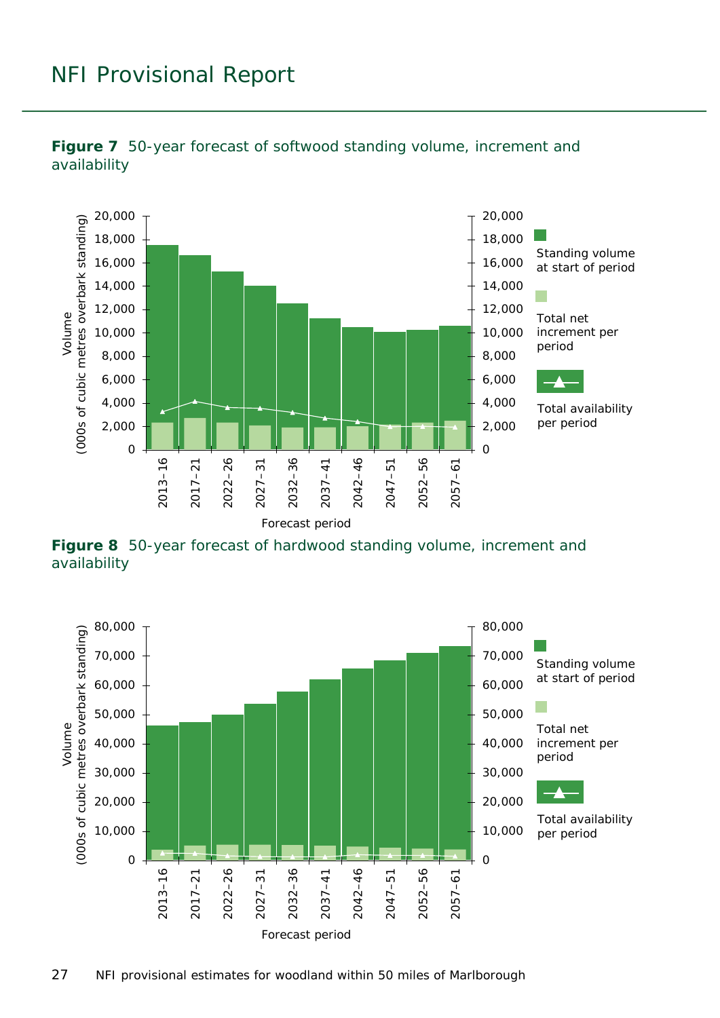

<span id="page-26-0"></span>**Figure 7** 50-year forecast of softwood standing volume, increment and availability

<span id="page-26-1"></span>**Figure 8** 50-year forecast of hardwood standing volume, increment and availability

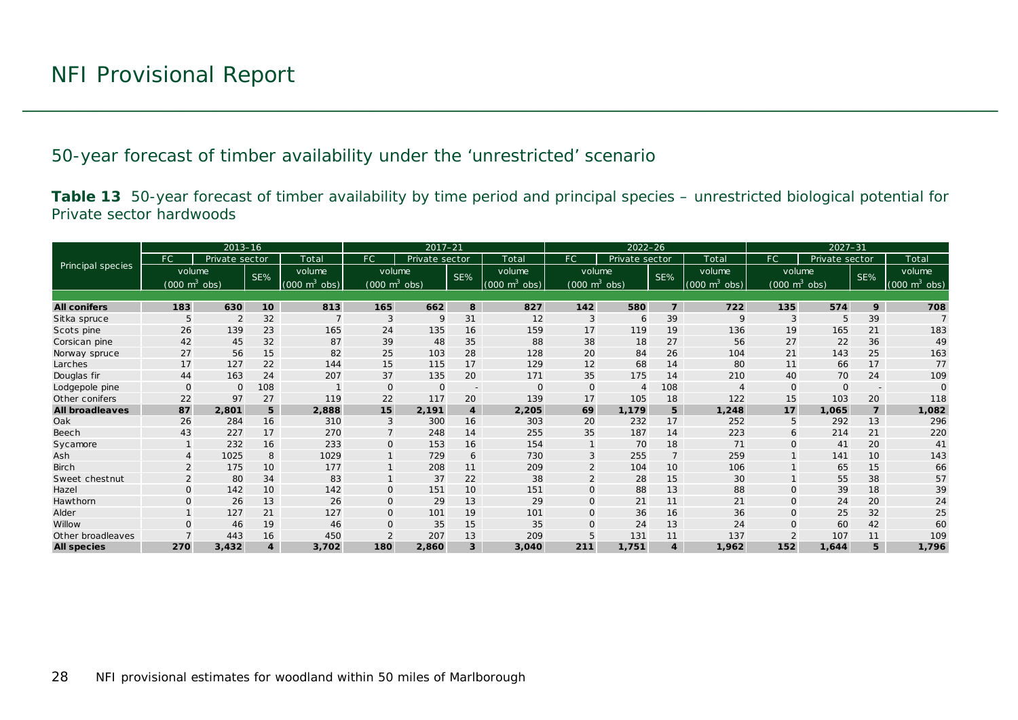50-year forecast of timber availability under the 'unrestricted' scenario

**Table 13** 50-year forecast of timber availability by time period and principal species – unrestricted biological potential for Private sector hardwoods

<span id="page-27-1"></span><span id="page-27-0"></span>

|                        |                                 | $2013 - 16$    |     |                             | $2017 - 21$                     |                |                          | $2022 - 26$                     |                                 |                |                 | $2027 - 31$                     |                                 |                |                          |                          |
|------------------------|---------------------------------|----------------|-----|-----------------------------|---------------------------------|----------------|--------------------------|---------------------------------|---------------------------------|----------------|-----------------|---------------------------------|---------------------------------|----------------|--------------------------|--------------------------|
|                        | FC.                             | Private sector |     | Total                       | <b>FC</b>                       | Private sector |                          | Total                           | FC                              | Private sector |                 | Total                           | FC                              | Private sector |                          | Total                    |
| Principal species      | volume                          |                | SE% | volume                      | volume                          |                | SE%                      | volume                          | volume                          |                | SE%             | volume                          | volume                          |                | SE%                      | volume                   |
|                        | $(000 \text{ m}^3 \text{ obs})$ |                |     | $(000 \text{ m}^3)$<br>obs) | $(000 \text{ m}^3 \text{ obs})$ |                |                          | $(000 \text{ m}^3 \text{ obs})$ | $(000 \text{ m}^3 \text{ obs})$ |                |                 | $(000 \text{ m}^3 \text{ obs})$ | $(000 \text{ m}^3 \text{ obs})$ |                |                          | (000 $\mathsf{m}^3$ obs) |
|                        |                                 |                |     |                             |                                 |                |                          |                                 |                                 |                |                 |                                 |                                 |                |                          |                          |
| <b>All conifers</b>    | 183                             | 630            | 10  | 813                         | 165                             | 662            | $\boldsymbol{8}$         | 827                             | 142                             | 580            | $\overline{7}$  | 722                             | 135                             | 574            | 9                        | 708                      |
| Sitka spruce           | 5                               | $\overline{2}$ | 32  |                             | 3                               | 9              | 31                       | 12                              | 3                               | 6              | 39              | 9                               | 3                               | 5              | 39                       |                          |
| Scots pine             | 26                              | 139            | 23  | 165                         | 24                              | 135            | 16                       | 159                             | 17                              | 119            | 19              | 136                             | 19                              | 165            | 21                       | 183                      |
| Corsican pine          | 42                              | 45             | 32  | 87                          | 39                              | 48             | 35                       | 88                              | 38                              | 18             | 27              | 56                              | 27                              | 22             | 36                       | 49                       |
| Norway spruce          | 27                              | 56             | 15  | 82                          | 25                              | 103            | 28                       | 128                             | 20                              | 84             | 26              | 104                             | 21                              | 143            | 25                       | 163                      |
| Larches                | 17                              | 127            | 22  | 144                         | 15                              | 115            | 17                       | 129                             | 12                              | 68             | 14              | 80                              | 11                              | 66             | 17                       | 77                       |
| Douglas fir            | 44                              | 163            | 24  | 207                         | 37                              | 135            | 20                       | 171                             | 35                              | 175            | 14              | 210                             | 40                              | 70             | 24                       | 109                      |
| Lodgepole pine         | $\mathbf{O}$                    | $\Omega$       | 108 |                             | 0                               | $\mathbf 0$    | $\overline{\phantom{a}}$ | $\mathbf 0$                     | 0                               | $\overline{4}$ | 108             | $\overline{4}$                  | $\mathbf{O}$                    | $\Omega$       | $\overline{\phantom{a}}$ |                          |
| Other conifers         | 22                              | 97             | 27  | 119                         | 22                              | 117            | 20                       | 139                             | 17                              | 105            | 18              | 122                             | 15                              | 103            | 20                       | 118                      |
| <b>All broadleaves</b> | 87                              | 2,801          | 5   | 2,888                       | 15                              | 2,191          | $\overline{\mathbf{4}}$  | 2,205                           | 69                              | 1,179          | 5               | 1,248                           | 17                              | 1.065          | $\overline{7}$           | 1,082                    |
| Oak                    | 26                              | 284            | 16  | 310                         | 3                               | 300            | 16                       | 303                             | 20                              | 232            | 17              | 252                             | 5                               | 292            | 13                       | 296                      |
| Beech                  | 43                              | 227            | 17  | 270                         | $\overline{7}$                  | 248            | 14                       | 255                             | 35                              | 187            | 14              | 223                             | 6                               | 214            | 21                       | 220                      |
| Sycamore               |                                 | 232            | 16  | 233                         | $\mathbf{O}$                    | 153            | 16                       | 154                             |                                 | 70             | 18              | 71                              | $\Omega$                        | 41             | 20                       | 41                       |
| Ash                    |                                 | 1025           | 8   | 1029                        |                                 | 729            | 6                        | 730                             | 3                               | 255            | $\overline{7}$  | 259                             |                                 | 141            | 10                       | 143                      |
| <b>Birch</b>           |                                 | 175            | 10  | 177                         |                                 | 208            | 11                       | 209                             |                                 | 104            | 10 <sup>°</sup> | 106                             |                                 | 65             | 15                       | 66                       |
| Sweet chestnut         |                                 | 80             | 34  | 83                          |                                 | 37             | 22                       | 38                              | $\overline{2}$                  | 28             | 15              | 30                              |                                 | 55             | 38                       | 57                       |
| Hazel                  | $\mathbf{O}$                    | 142            | 10  | 142                         | $\mathbf 0$                     | 151            | 10                       | 151                             | O                               | 88             | 13              | 88                              | $\Omega$                        | 39             | 18                       | 39                       |
| Hawthorn               | $\Omega$                        | 26             | 13  | 26                          | $\mathbf 0$                     | 29             | 13                       | 29                              | $\Omega$                        | 21             | 11              | 21                              | $\mathbf{O}$                    | 24             | 20                       | 24                       |
| Alder                  |                                 | 127            | 21  | 127                         | $\mathbf 0$                     | 101            | 19                       | 101                             | 0                               | 36             | 16              | 36                              | $\mathbf{O}$                    | 25             | 32                       | 25                       |
| Willow                 | $\Omega$                        | 46             | 19  | 46                          | $\mathbf{O}$                    | 35             | 15                       | 35                              | O                               | 24             | 13              | 24                              |                                 | 60             | 42                       | 60                       |
| Other broadleaves      |                                 | 443            | 16  | 450                         | $\overline{2}$                  | 207            | 13                       | 209                             |                                 | 131            | 11              | 137                             |                                 | 107            | 11                       | 109                      |
| <b>All species</b>     | 270                             | 3,432          | 4   | 3.702                       | 180                             | 2,860          | 3                        | 3,040                           | 211                             | 1,751          | $\overline{4}$  | 1,962                           | 152                             | 1.644          | 5                        | 1,796                    |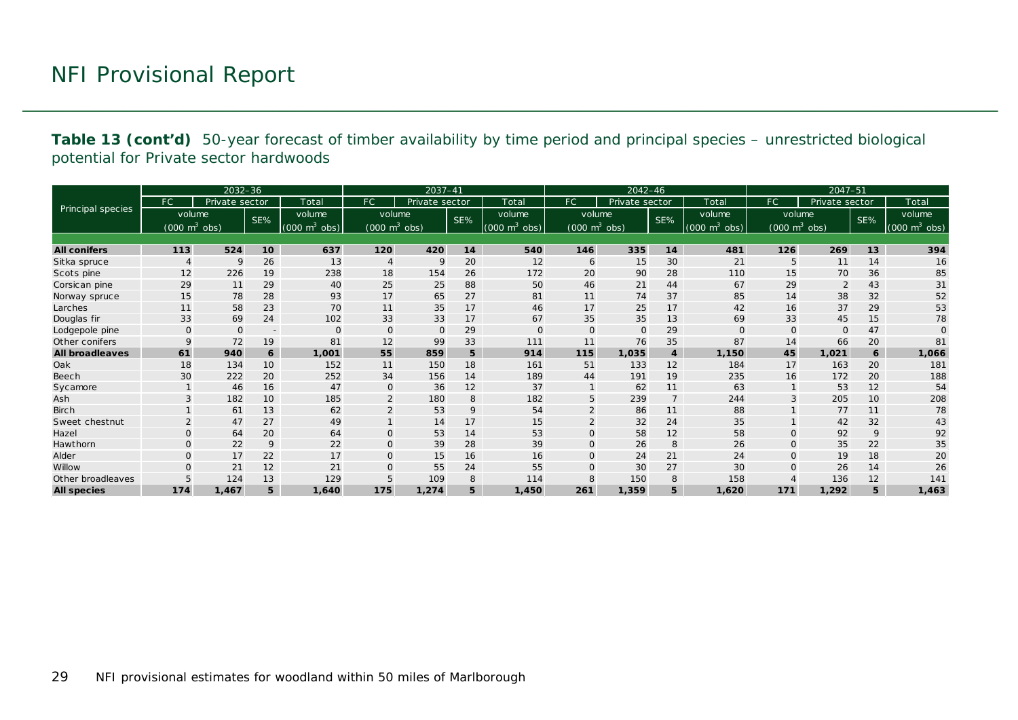**Table 13 (cont'd)** 50-year forecast of timber availability by time period and principal species – unrestricted biological potential for Private sector hardwoods

|                        |                                 | $2032 - 36$    |                          |                             |                                 | 2037-41        |     |                                     |                                 | $2042 - 46$    |                |                                 |                                 | $2047 - 51$    |     |                     |
|------------------------|---------------------------------|----------------|--------------------------|-----------------------------|---------------------------------|----------------|-----|-------------------------------------|---------------------------------|----------------|----------------|---------------------------------|---------------------------------|----------------|-----|---------------------|
|                        | FC.                             | Private sector |                          | Total                       | <b>FC</b>                       | Private sector |     | Total                               | FC.                             | Private sector |                | Total                           | FC.                             | Private sector |     | Total               |
| Principal species      | volume                          |                | SE%                      | volume                      | volume                          |                | SE% | volume                              | volume                          |                | SE%            | volume                          | volume                          |                | SE% | volume              |
|                        | $(000 \text{ m}^3 \text{ obs})$ |                |                          | $(000 \text{ m}^3)$<br>obs) | $(000 \text{ m}^3 \text{ obs})$ |                |     | $(000 \; \text{m}^3 \; \text{obs})$ | $(000 \text{ m}^3 \text{ obs})$ |                |                | $(000 \text{ m}^3 \text{ obs})$ | $(000 \text{ m}^3 \text{ obs})$ |                |     | $m^3$ obs)<br>(000) |
|                        |                                 |                |                          |                             |                                 |                |     |                                     |                                 |                |                |                                 |                                 |                |     |                     |
| <b>All conifers</b>    | 113                             | 524            | 10                       | 637                         | 120                             | 420            | 14  | 540                                 | 146                             | 335            | 14             | 481                             | 126                             | 269            | 13  | 394                 |
| Sitka spruce           |                                 | 9              | 26                       | 13                          | $\overline{4}$                  | 9              | 20  | 12                                  | 6                               | 15             | 30             | 21                              |                                 | 11             | 14  | 16                  |
| Scots pine             | 12                              | 226            | 19                       | 238                         | 18                              | 154            | 26  | 172                                 | 20                              | 90             | 28             | 110                             | 15                              | 70             | 36  | 85                  |
| Corsican pine          | 29                              | 11             | 29                       | 40                          | 25                              | 25             | 88  | 50                                  | 46                              | 21             | 44             | 67                              | 29                              | 2              | 43  | 31                  |
| Norway spruce          | 15                              | 78             | 28                       | 93                          | 17                              | 65             | 27  | 81                                  | 11                              | 74             | 37             | 85                              | 14                              | 38             | 32  | 52                  |
| Larches                | 11                              | 58             | 23                       | 70                          | 11                              | 35             | 17  | 46                                  | 17                              | 25             | 17             | 42                              | 16                              | 37             | 29  | 53                  |
| Douglas fir            | 33                              | 69             | 24                       | 102                         | 33                              | 33             | 17  | 67                                  | 35                              | 35             | 13             | 69                              | 33                              | 45             | 15  | 78                  |
| Lodgepole pine         | $\mathbf{0}$                    | $\Omega$       | $\overline{\phantom{a}}$ | $\Omega$                    | $\circ$                         | $\mathbf{0}$   | 29  | $\Omega$                            | 0                               | $\mathbf{O}$   | 29             | $\Omega$                        | $\mathbf{O}$                    | 0              | 47  |                     |
| Other conifers         | $\mathsf{Q}$                    | 72             | 19                       | 81                          | 12                              | 99             | 33  | 111                                 | 11                              | 76             | 35             | 87                              | 14                              | 66             | 20  | 81                  |
| <b>All broadleaves</b> | 61                              | 940            | 6                        | 1,001                       | 55                              | 859            | 5   | 914                                 | 115                             | 1,035          | $\overline{4}$ | 1,150                           | 45                              | 1,021          | 6   | 1,066               |
| Oak                    | 18                              | 134            | 10                       | 152                         | 11                              | 150            | 18  | 161                                 | 51                              | 133            | 12             | 184                             | 17                              | 163            | 20  | 181                 |
| <b>Beech</b>           | 30                              | 222            | 20                       | 252                         | 34                              | 156            | 14  | 189                                 | 44                              | 191            | 19             | 235                             | 16                              | 172            | 20  | 188                 |
| Sycamore               |                                 | 46             | 16                       | 47                          | $\mathbf 0$                     | 36             | 12  | 37                                  |                                 | 62             | 11             | 63                              |                                 | 53             | 12  | 54                  |
| Ash                    | 3                               | 182            | 10                       | 185                         | $\overline{2}$                  | 180            | 8   | 182                                 | 5                               | 239            | $\overline{7}$ | 244                             | 3                               | 205            | 10  | 208                 |
| <b>Birch</b>           |                                 | 61             | 13                       | 62                          | $\overline{2}$                  | 53             | 9   | 54                                  | $\overline{2}$                  | 86             | 11             | 88                              |                                 | 77             | 11  | 78                  |
| Sweet chestnut         | 2                               | 47             | 27                       | 49                          | $\mathbf{1}$                    | 14             | 17  | 15                                  | $\overline{2}$                  | 32             | 24             | 35                              |                                 | 42             | 32  | 43                  |
| Hazel                  | $\mathbf{O}$                    | 64             | 20                       | 64                          | $\mathbf 0$                     | 53             | 14  | 53                                  | $\mathsf{O}$                    | 58             | 12             | 58                              | $\Omega$                        | 92             | 9   | 92                  |
| Hawthorn               | $\mathbf{O}$                    | 22             | 9                        | 22                          | $\mathbf 0$                     | 39             | 28  | 39                                  | 0                               | 26             | 8              | 26                              | $\mathbf 0$                     | 35             | 22  | 35                  |
| Alder                  | $\Omega$                        | 17             | 22                       | 17                          | $\mathbf 0$                     | 15             | 16  | 16                                  | $\Omega$                        | 24             | 21             | 24                              | $\mathbf{O}$                    | 19             | 18  | 20                  |
| Willow                 | $\Omega$                        | 21             | 12                       | 21                          | $\mathbf 0$                     | 55             | 24  | 55                                  | 0                               | 30             | 27             | 30                              | $\mathbf{O}$                    | 26             | 14  | 26                  |
| Other broadleaves      |                                 | 124            | 13                       | 129                         | 5                               | 109            | 8   | 114                                 | 8                               | 150            | 8              | 158                             | $\overline{4}$                  | 136            | 12  | 141                 |
| <b>All species</b>     | 174                             | 1,467          | 5                        | 1,640                       | 175                             | 1,274          | 5   | 1,450                               | 261                             | 1,359          | 5              | 1,620                           | 171                             | 1,292          | 5   | 1,463               |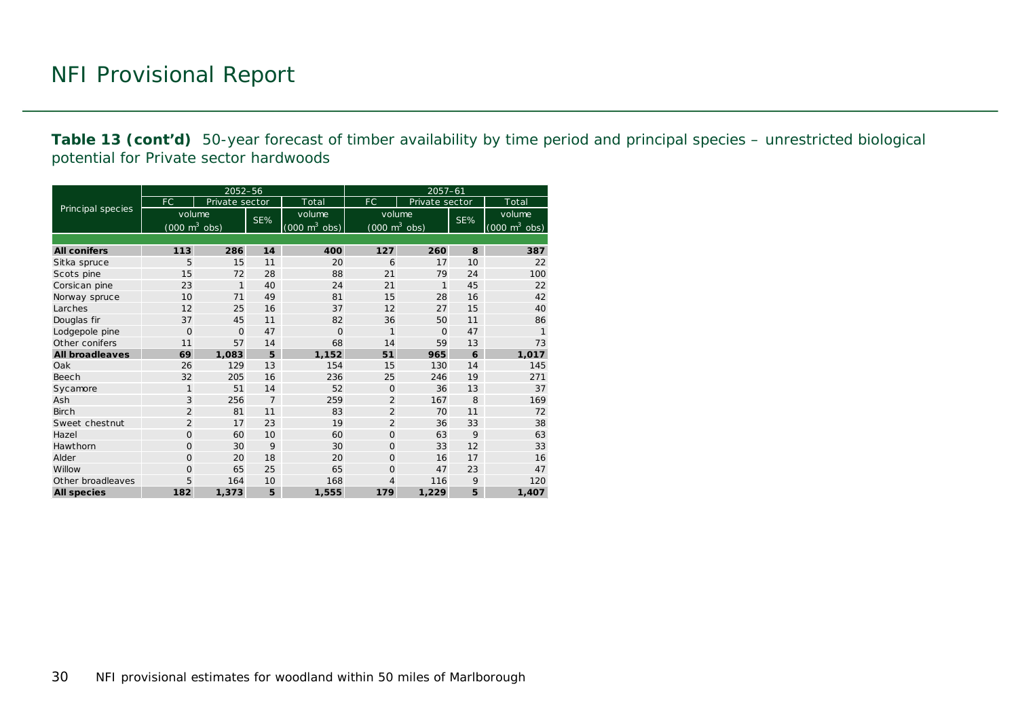**Table 13 (cont'd)** 50-year forecast of timber availability by time period and principal species – unrestricted biological potential for Private sector hardwoods

|                        |                                     | 2052-56        |                |                                     | 2057-61                             |                |     |                                 |  |  |
|------------------------|-------------------------------------|----------------|----------------|-------------------------------------|-------------------------------------|----------------|-----|---------------------------------|--|--|
|                        | <b>FC</b>                           | Private sector |                | Total                               | <b>FC</b>                           | Private sector |     | Total                           |  |  |
| Principal species      | volume                              |                | SE%            | volume                              | volume                              |                | SE% | volume                          |  |  |
|                        | $(000 \; \text{m}^3 \; \text{obs})$ |                |                | $(000 \; \text{m}^3 \; \text{obs})$ | $(000 \; \text{m}^3 \; \text{obs})$ |                |     | $(000 \text{ m}^3 \text{ obs})$ |  |  |
|                        |                                     |                |                |                                     |                                     |                |     |                                 |  |  |
| <b>All conifers</b>    | 113                                 | 286            | 14             | 400                                 | 127                                 | 260            | 8   | 387                             |  |  |
| Sitka spruce           | 5                                   | 15             | 11             | 20                                  | 6                                   | 17             | 10  | 22                              |  |  |
| Scots pine             | 15                                  | 72             | 28             | 88                                  | 21                                  | 79             | 24  | 100                             |  |  |
| Corsican pine          | 23                                  | $\mathbf{1}$   | 40             | 24                                  | 21                                  | 1              | 45  | 22                              |  |  |
| Norway spruce          | 10                                  | 71             | 49             | 81                                  | 15                                  | 28             | 16  | 42                              |  |  |
| Larches                | 12                                  | 25             | 16             | 37                                  | 12                                  | 27             | 15  | 40                              |  |  |
| Douglas fir            | 37                                  | 45             | 11             | 82                                  | 36                                  | 50             | 11  | 86                              |  |  |
| Lodgepole pine         | $\Omega$                            | $\mathbf{O}$   | 47             | $\overline{O}$                      | 1                                   | $\Omega$       | 47  | 1                               |  |  |
| Other conifers         | 11                                  | 57             | 14             | 68                                  | 14                                  | 59             | 13  | 73                              |  |  |
| <b>All broadleaves</b> | 69                                  | 1,083          | 5              | 1,152                               | 51                                  | 965            | 6   | 1,017                           |  |  |
| Oak                    | 26                                  | 129            | 13             | 154                                 | 15                                  | 130            | 14  | 145                             |  |  |
| Beech                  | 32                                  | 205            | 16             | 236                                 | 25                                  | 246            | 19  | 271                             |  |  |
| Sycamore               | $\mathbf{1}$                        | 51             | 14             | 52                                  | $\Omega$                            | 36             | 13  | 37                              |  |  |
| Ash                    | 3                                   | 256            | $\overline{7}$ | 259                                 | $\overline{2}$                      | 167            | 8   | 169                             |  |  |
| <b>Birch</b>           | $\overline{2}$                      | 81             | 11             | 83                                  | $\overline{2}$                      | 70             | 11  | 72                              |  |  |
| Sweet chestnut         | $\overline{2}$                      | 17             | 23             | 19                                  | $\overline{2}$                      | 36             | 33  | 38                              |  |  |
| Hazel                  | $\Omega$                            | 60             | 10             | 60                                  | $\mathbf{O}$                        | 63             | 9   | 63                              |  |  |
| Hawthorn               | $\Omega$                            | 30             | 9              | 30                                  | $\Omega$                            | 33             | 12  | 33                              |  |  |
| Alder                  | $\Omega$                            | 20             | 18             | 20                                  | $\Omega$                            | 16             | 17  | 16                              |  |  |
| Willow                 | $\overline{O}$                      | 65             | 25             | 65                                  | $\Omega$                            | 47             | 23  | 47                              |  |  |
| Other broadleaves      | 5                                   | 164            | 10             | 168                                 | $\overline{4}$                      | 116            | 9   | 120                             |  |  |
| <b>All species</b>     | 182                                 | 1,373          | 5              | 1,555                               | 179                                 | 1,229          | 5   | 1,407                           |  |  |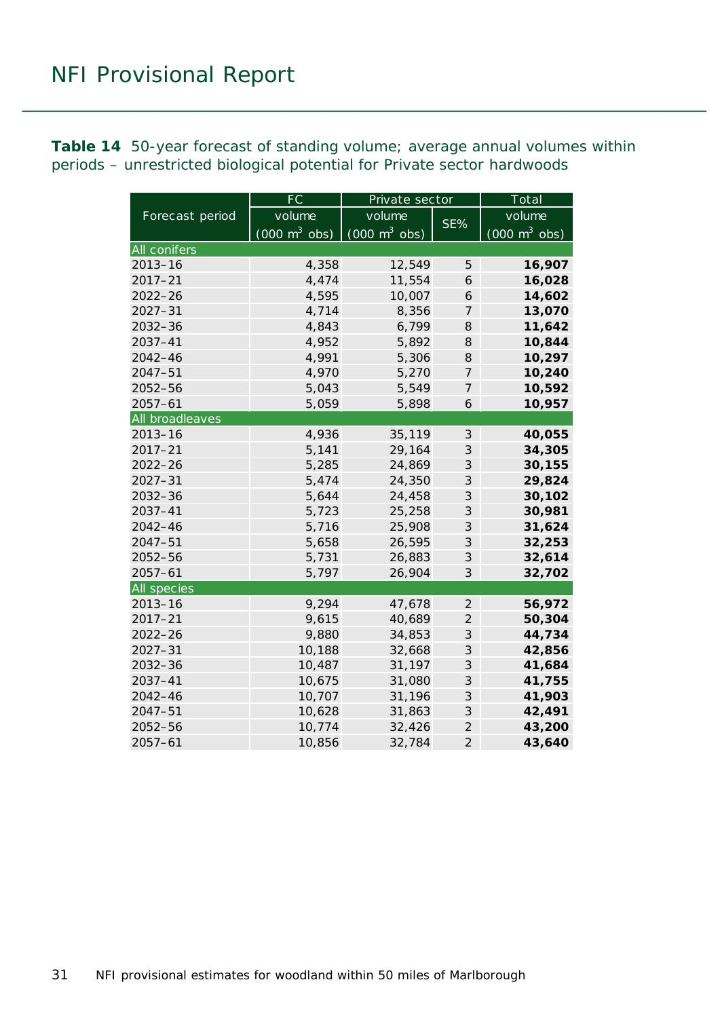<span id="page-30-0"></span>**Table 14** 50-year forecast of standing volume; average annual volumes within periods – unrestricted biological potential for Private sector hardwoods

|                    | FC                              | Private sector                      |                            | Total                           |  |  |
|--------------------|---------------------------------|-------------------------------------|----------------------------|---------------------------------|--|--|
| Forecast period    | volume                          | volume                              | SE%                        | volume                          |  |  |
|                    | $(000 \text{ m}^3 \text{ obs})$ | $(000 \; \text{m}^3 \; \text{obs})$ |                            | $(000 \text{ m}^3 \text{ obs})$ |  |  |
| All conifers       |                                 |                                     |                            |                                 |  |  |
| $2013 - 16$        | 4,358                           | 12,549                              | 5                          | 16,907                          |  |  |
| $2017 - 21$        | 4,474                           | 11,554                              | 6                          | 16,028                          |  |  |
| $2022 - 26$        | 4,595                           | 10,007                              | 6                          | 14,602                          |  |  |
| $2027 - 31$        | 4,714                           | 8,356                               | 7                          | 13,070                          |  |  |
| 2032-36            | 4,843                           | 6,799                               | 8                          | 11,642                          |  |  |
| 2037-41            | 4,952                           | 5,892                               | 8                          | 10,844                          |  |  |
| $2042 - 46$        | 4,991                           | 5,306                               | 8                          | 10,297                          |  |  |
| $2047 - 51$        | 4,970                           | 5,270                               | 7                          | 10,240                          |  |  |
| $2052 - 56$        | 5,043                           | 5,549                               | 7                          | 10,592                          |  |  |
| $2057 - 61$        | 5,059                           | 5,898                               | 6                          | 10,957                          |  |  |
| All broadleaves    |                                 |                                     |                            |                                 |  |  |
| $2013 - 16$        | 4,936                           | 35,119                              | 3                          | 40,055                          |  |  |
| $2017 - 21$        | 5,141                           | 29,164                              | 3                          | 34,305                          |  |  |
| $2022 - 26$        | 5,285                           | 24,869                              | 3                          | 30,155                          |  |  |
| $2027 - 31$        | 5,474                           | 24,350                              | 3                          | 29,824                          |  |  |
| 2032-36            | 5,644                           | 24,458                              | 3                          | 30,102                          |  |  |
| 2037-41            | 5,723                           | 25,258                              | 3                          | 30,981                          |  |  |
| 2042-46            | 5,716                           | 25,908                              | 3                          | 31,624                          |  |  |
| $2047 - 51$        | 5,658                           | 26,595                              | 3                          | 32,253                          |  |  |
| 2052-56            | 5,731                           | 26,883                              | 3                          | 32,614                          |  |  |
| $2057 - 61$        | 5,797                           | 26,904                              | 3                          | 32,702                          |  |  |
| <b>All species</b> |                                 |                                     |                            |                                 |  |  |
| $2013 - 16$        | 9,294                           | 47,678                              | $\overline{2}$             | 56,972                          |  |  |
| $2017 - 21$        | 9,615                           | 40,689                              | $\overline{2}$             | 50,304                          |  |  |
| $2022 - 26$        | 9,880                           | 34,853                              | $\ensuremath{\mathcal{S}}$ | 44,734                          |  |  |
| $2027 - 31$        | 10,188                          | 32,668                              | $\ensuremath{\mathcal{S}}$ | 42,856                          |  |  |
| $2032 - 36$        | 10,487                          | 31,197                              | 3                          | 41,684                          |  |  |
| 2037-41            | 10,675                          | 31,080                              | 3                          | 41,755                          |  |  |
| $2042 - 46$        | 10,707                          | 31,196                              | 3                          | 41,903                          |  |  |
| $2047 - 51$        | 10,628                          | 31,863                              | 3                          | 42,491                          |  |  |
| 2052-56            | 10,774                          | 32,426                              | $\overline{2}$             | 43,200                          |  |  |
| $2057 - 61$        | 10,856                          | 32,784                              | $\overline{2}$             | 43,640                          |  |  |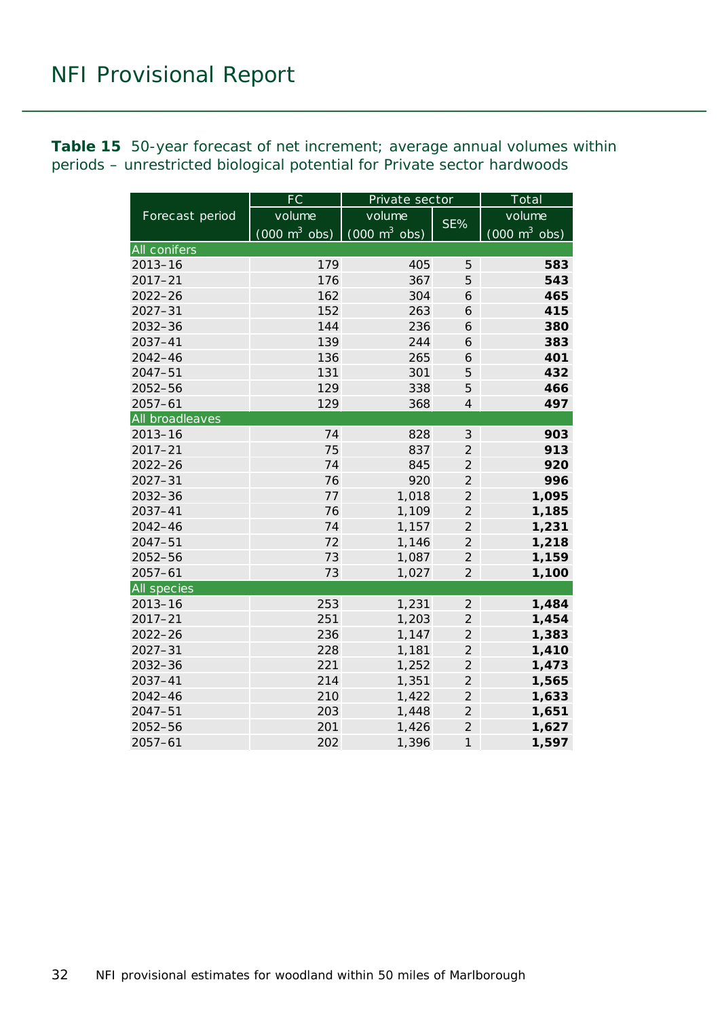<span id="page-31-0"></span>**Table 15** 50-year forecast of net increment; average annual volumes within periods – unrestricted biological potential for Private sector hardwoods

|                 | $\overline{\mathsf{FC}}$        | Private sector                      | Total          |                                 |  |
|-----------------|---------------------------------|-------------------------------------|----------------|---------------------------------|--|
| Forecast period | volume                          | volume                              |                | volume                          |  |
|                 | $(000 \text{ m}^3 \text{ obs})$ | $(000 \; \text{m}^3 \; \text{obs})$ | SE%            | $(000 \text{ m}^3 \text{ obs})$ |  |
| All conifers    |                                 |                                     |                |                                 |  |
| $2013 - 16$     | 179                             | 405                                 | 5              | 583                             |  |
| $2017 - 21$     | 176                             | 367                                 | 5              | 543                             |  |
| 2022-26         | 162                             | 304                                 | 6              | 465                             |  |
| $2027 - 31$     | 152                             | 263                                 | 6              | 415                             |  |
| 2032-36         | 144                             | 236                                 | 6              | 380                             |  |
| 2037-41         | 139                             | 244                                 | 6              | 383                             |  |
| 2042-46         | 136                             | 265                                 | 6              | 401                             |  |
| $2047 - 51$     | 131                             | 301                                 | 5              | 432                             |  |
| 2052-56         | 129                             | 338                                 | 5              | 466                             |  |
| $2057 - 61$     | 129                             | 368                                 | $\overline{4}$ | 497                             |  |
| All broadleaves |                                 |                                     |                |                                 |  |
| $2013 - 16$     | 74                              | 828                                 | $\mathfrak{Z}$ | 903                             |  |
| $2017 - 21$     | 75                              | 837                                 | $\overline{2}$ | 913                             |  |
| $2022 - 26$     | 74                              | 845                                 | $\overline{2}$ | 920                             |  |
| $2027 - 31$     | 76                              | 920                                 | $\overline{2}$ | 996                             |  |
| $2032 - 36$     | 77                              | 1,018                               | $\overline{2}$ | 1,095                           |  |
| $2037 - 41$     | 76                              | 1,109                               | $\overline{2}$ | 1,185                           |  |
| 2042-46         | 74                              | 1,157                               | $\overline{2}$ | 1,231                           |  |
| $2047 - 51$     | 72                              | 1,146                               | $\mathfrak{2}$ | 1,218                           |  |
| 2052-56         | 73                              | 1,087                               | $\overline{2}$ | 1,159                           |  |
| $2057 - 61$     | 73                              | 1,027                               | $\overline{2}$ | 1,100                           |  |
| All species     |                                 |                                     |                |                                 |  |
| $2013 - 16$     | 253                             | 1,231                               | $\overline{2}$ | 1,484                           |  |
| $2017 - 21$     | 251                             | 1,203                               | $\overline{2}$ | 1,454                           |  |
| $2022 - 26$     | 236                             | 1,147                               | $\overline{2}$ | 1,383                           |  |
| $2027 - 31$     | 228                             | 1,181                               | $\overline{2}$ | 1,410                           |  |
| 2032-36         | 221                             | 1,252                               | $\overline{2}$ | 1,473                           |  |
| $2037 - 41$     | 214                             | 1,351                               | $\overline{2}$ | 1,565                           |  |
| 2042-46         | 210                             | 1,422                               | $\overline{c}$ | 1,633                           |  |
| $2047 - 51$     | 203                             | 1,448                               | $\overline{c}$ | 1,651                           |  |
| 2052-56         | 201                             | 1,426                               | $\overline{c}$ | 1,627                           |  |
| $2057 - 61$     | 202                             | 1,396                               | $\mathcal{I}$  | 1,597                           |  |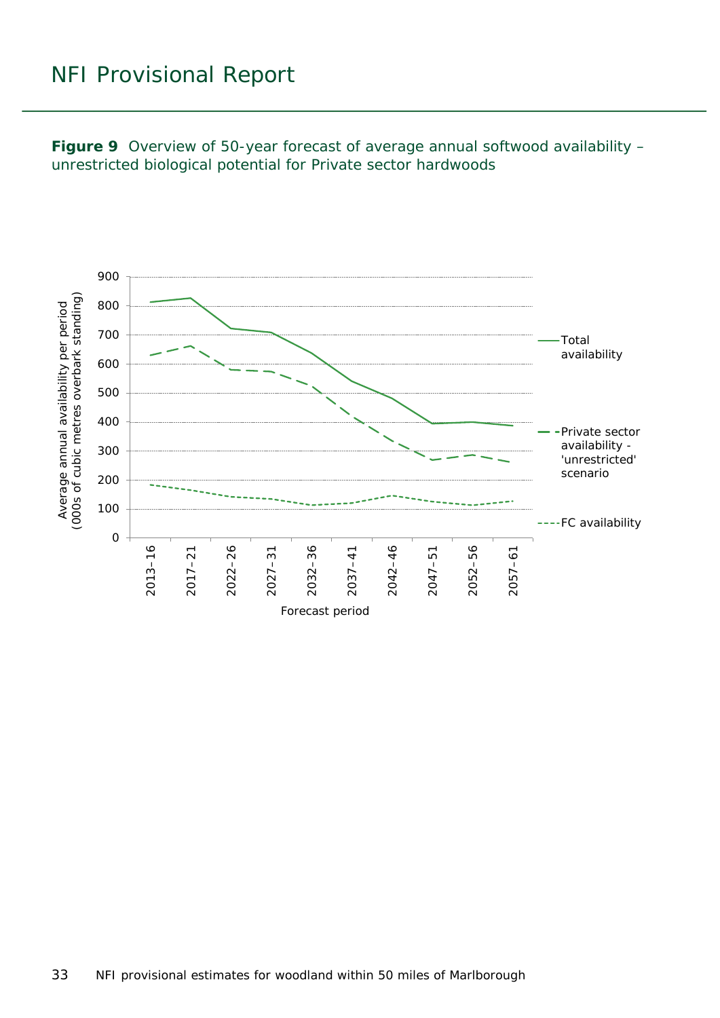<span id="page-32-0"></span>**Figure 9** Overview of 50-year forecast of average annual softwood availability – unrestricted biological potential for Private sector hardwoods

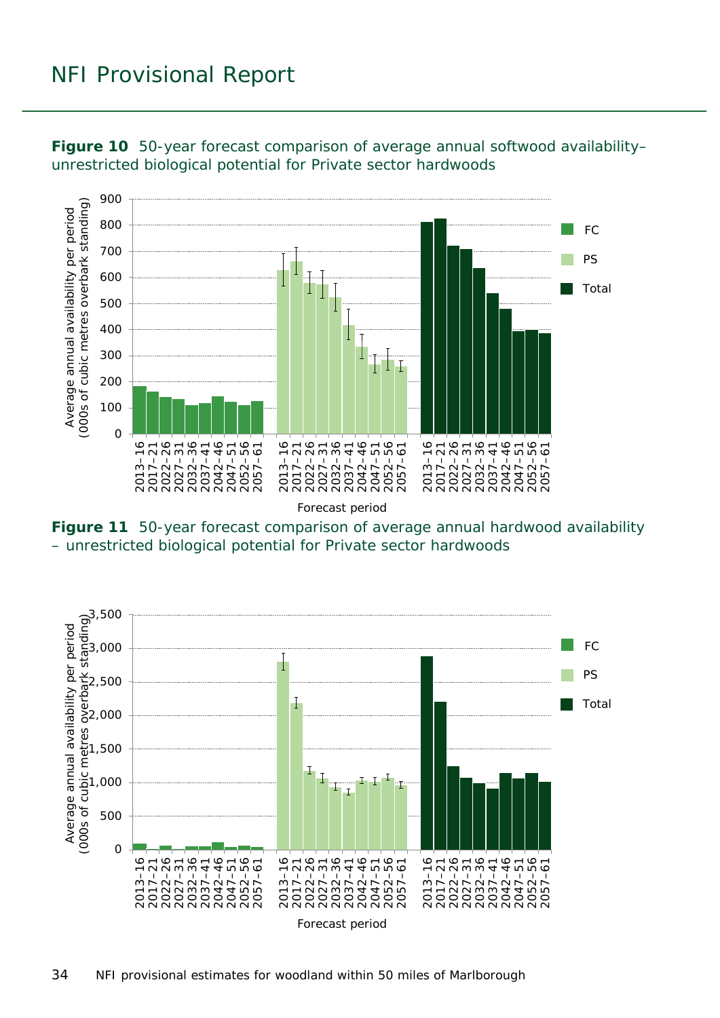

<span id="page-33-0"></span>**Figure 10** 50-year forecast comparison of average annual softwood availability– unrestricted biological potential for Private sector hardwoods

<span id="page-33-1"></span>**Figure 11** 50-year forecast comparison of average annual hardwood availability – unrestricted biological potential for Private sector hardwoods

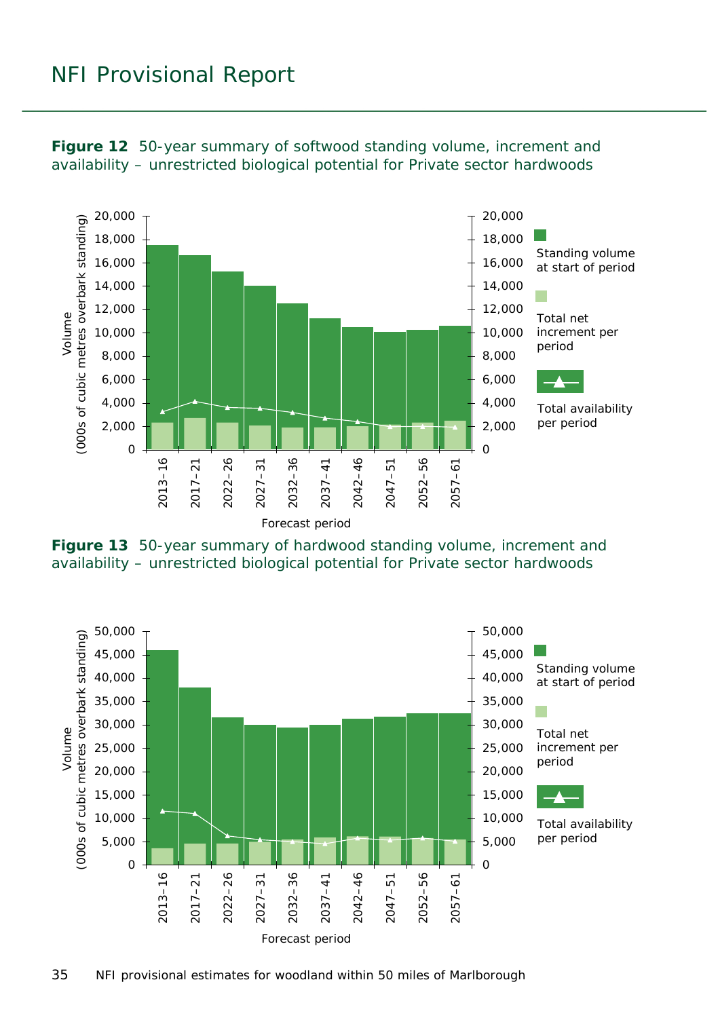

<span id="page-34-0"></span>**Figure 12** 50-year summary of softwood standing volume, increment and availability – unrestricted biological potential for Private sector hardwoods

<span id="page-34-1"></span>

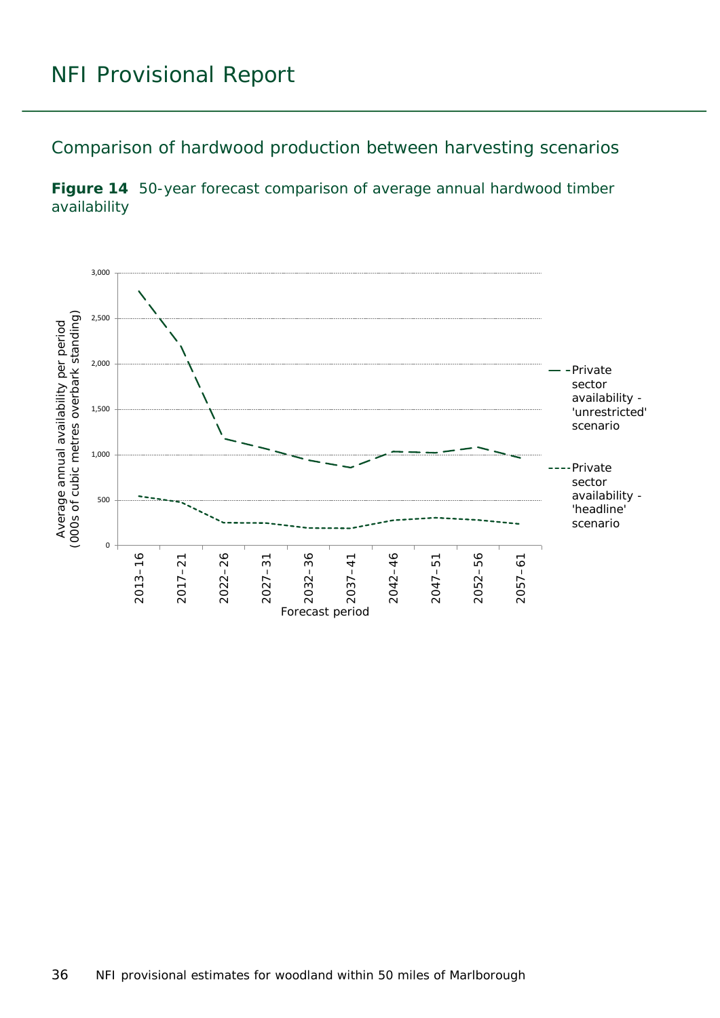<span id="page-35-0"></span>Comparison of hardwood production between harvesting scenarios

<span id="page-35-1"></span>**Figure 14** 50-year forecast comparison of average annual hardwood timber availability

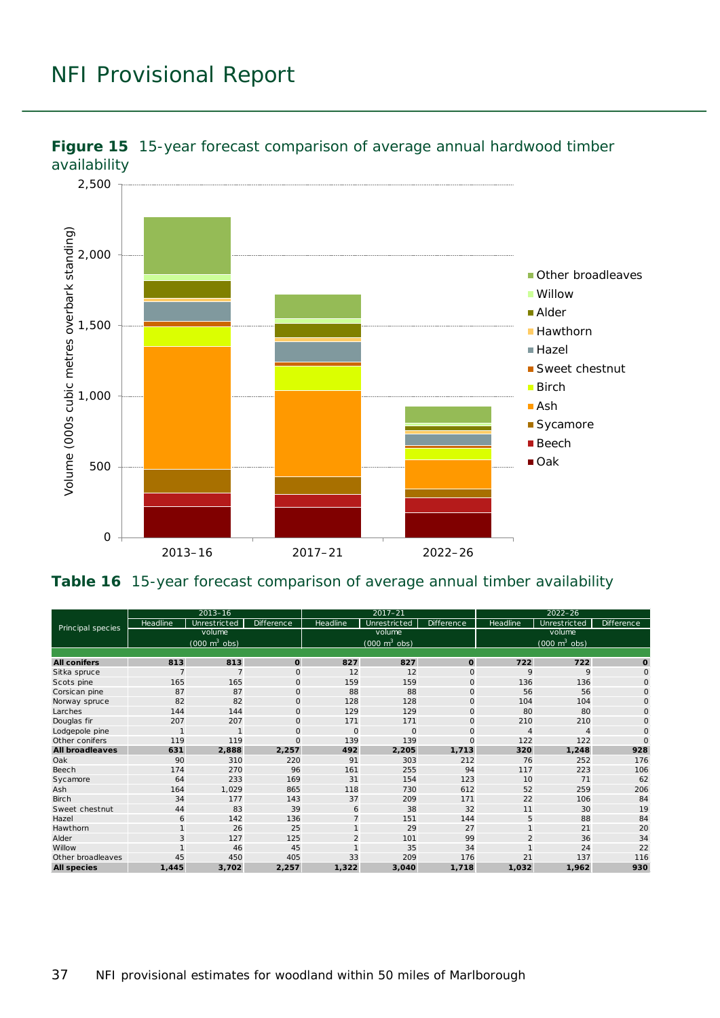

<span id="page-36-0"></span>

#### <span id="page-36-1"></span>**Table 16** 15-year forecast comparison of average annual timber availability

| Principal species      | $2013 - 16$                     |                |             | $2017 - 21$                     |              |              | $2022 - 26$                     |                |                   |
|------------------------|---------------------------------|----------------|-------------|---------------------------------|--------------|--------------|---------------------------------|----------------|-------------------|
|                        | Headline                        | Unrestricted   | Difference  | Headline                        | Unrestricted | Difference   | Headline                        | Unrestricted   | <b>Difference</b> |
|                        | volume                          |                |             | volume                          |              |              | volume                          |                |                   |
|                        | $(000 \text{ m}^3 \text{ obs})$ |                |             | $(000 \text{ m}^3 \text{ obs})$ |              |              | $(000 \text{ m}^3 \text{ obs})$ |                |                   |
|                        |                                 |                |             |                                 |              |              |                                 |                |                   |
| <b>All conifers</b>    | 813                             | 813            | O           | 827                             | 827          | $\mathbf{o}$ | 722                             | 722            | $\mathbf{o}$      |
| Sitka spruce           | $\overline{7}$                  | $\overline{7}$ | $\circ$     | 12                              | 12           | $\mathbf 0$  | 9                               | 9              | $\circ$           |
| Scots pine             | 165                             | 165            | $\mathbf 0$ | 159                             | 159          | $\mathbf 0$  | 136                             | 136            | $\mathsf{O}$      |
| Corsic an pine         | 87                              | 87             | $\mathbf 0$ | 88                              | 88           | $\mathbf 0$  | 56                              | 56             | $\circ$           |
| Norway spruce          | 82                              | 82             | $\mathbf 0$ | 128                             | 128          | $\mathbf 0$  | 104                             | 104            | $\circ$           |
| Larches                | 144                             | 144            | $\Omega$    | 129                             | 129          | $\circ$      | 80                              | 80             | $\circ$           |
| Douglas fir            | 207                             | 207            | $\mathbf 0$ | 171                             | 171          | $\mathbf 0$  | 210                             | 210            | $\circ$           |
| Lodgepole pine         | $\mathbf{1}$                    | $\mathbf{1}$   | $\mathbf 0$ | $\circ$                         | $\mathbf{O}$ | $\mathbf 0$  | $\overline{4}$                  | $\overline{4}$ | $\circ$           |
| Other conifers         | 119                             | 119            | $\mathbf 0$ | 139                             | 139          | $\mathbf{O}$ | 122                             | 122            | $\Omega$          |
| <b>All broadleaves</b> | 631                             | 2,888          | 2,257       | 492                             | 2,205        | 1,713        | 320                             | 1,248          | 928               |
| Oak                    | 90                              | 310            | 220         | 91                              | 303          | 212          | 76                              | 252            | 176               |
| Beech                  | 174                             | 270            | 96          | 161                             | 255          | 94           | 117                             | 223            | 106               |
| Sycamore               | 64                              | 233            | 169         | 31                              | 154          | 123          | 10                              | 71             | 62                |
| Ash                    | 164                             | 1,029          | 865         | 118                             | 730          | 612          | 52                              | 259            | 206               |
| Birch                  | 34                              | 177            | 143         | 37                              | 209          | 171          | 22                              | 106            | 84                |
| Sweet chestnut         | 44                              | 83             | 39          | 6                               | 38           | 32           | 11                              | 30             | 19                |
| Hazel                  | 6                               | 142            | 136         | $\overline{7}$                  | 151          | 144          | 5                               | 88             | 84                |
| Hawthorn               | $\mathbf{1}$                    | 26             | 25          |                                 | 29           | 27           |                                 | 21             | 20                |
| Alder                  | 3                               | 127            | 125         | $\overline{c}$                  | 101          | 99           | $\overline{2}$                  | 36             | 34                |
| Willow                 |                                 | 46             | 45          |                                 | 35           | 34           |                                 | 24             | 22                |
| Other broadleaves      | 45                              | 450            | 405         | 33                              | 209          | 176          | 21                              | 137            | 116               |
| <b>All species</b>     | 1,445                           | 3,702          | 2,257       | 1,322                           | 3,040        | 1,718        | 1,032                           | 1,962          | 930               |